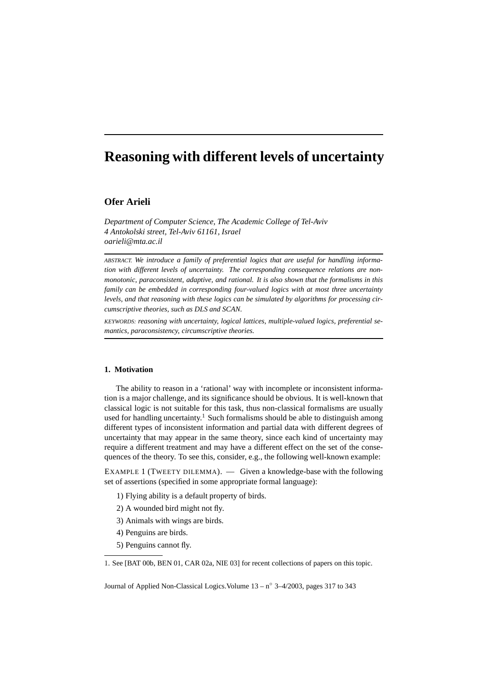# **Reasoning with different levels of uncertainty**

# **Ofer Arieli**

*Department of Computer Science, The Academic College of Tel-Aviv 4 Antokolski street, Tel-Aviv 61161, Israel oarieli@mta.ac.il*

*ABSTRACT. We introduce a family of preferential logics that are useful for handling information with different levels of uncertainty. The corresponding consequence relations are nonmonotonic, paraconsistent, adaptive, and rational. It is also shown that the formalisms in this family can be embedded in corresponding four-valued logics with at most three uncertainty levels, and that reasoning with these logics can be simulated by algorithms for processing circumscriptive theories, such as DLS and SCAN.*

*KEYWORDS: reasoning with uncertainty, logical lattices, multiple-valued logics, preferential semantics, paraconsistency, circumscriptive theories.*

#### **1. Motivation**

The ability to reason in a 'rational' way with incomplete or inconsistent information is a major challenge, and its significance should be obvious. It is well-known that classical logic is not suitable for this task, thus non-classical formalisms are usually used for handling uncertainty.<sup>1</sup> Such formalisms should be able to distinguish among different types of inconsistent information and partial data with different degrees of uncertainty that may appear in the same theory, since each kind of uncertainty may require a different treatment and may have a different effect on the set of the consequences of the theory. To see this, consider, e.g., the following well-known example:

EXAMPLE 1 (TWEETY DILEMMA). — Given a knowledge-base with the following set of assertions (specified in some appropriate formal language):

- 1) Flying ability is a default property of birds.
- 2) A wounded bird might not fly.
- 3) Animals with wings are birds.
- 4) Penguins are birds.
- 5) Penguins cannot fly.

1. See [BAT 00b, BEN 01, CAR 02a, NIE 03] for recent collections of papers on this topic.

Journal of Applied Non-Classical Logics. Volume  $13 - n^{\circ}$  3–4/2003, pages 317 to 343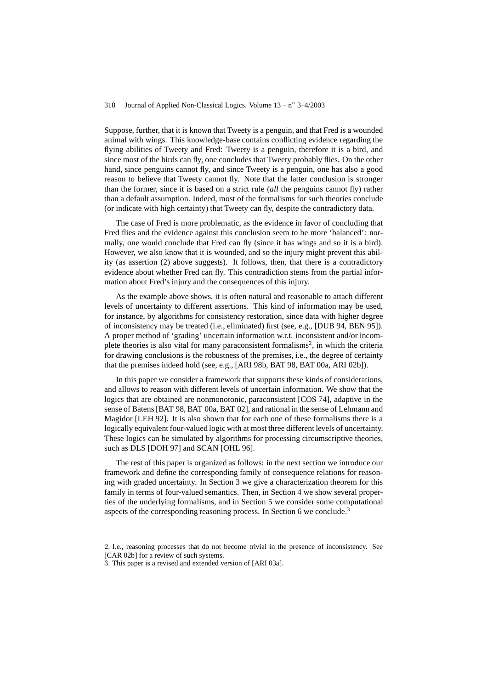Suppose, further, that it is known that Tweety is a penguin, and that Fred is a wounded animal with wings. This knowledge-base contains conflicting evidence regarding the flying abilities of Tweety and Fred: Tweety is a penguin, therefore it is a bird, and since most of the birds can fly, one concludes that Tweety probably flies. On the other hand, since penguins cannot fly, and since Tweety is a penguin, one has also a good reason to believe that Tweety cannot fly. Note that the latter conclusion is stronger than the former, since it is based on a strict rule (*all* the penguins cannot fly) rather than a default assumption. Indeed, most of the formalisms for such theories conclude (or indicate with high certainty) that Tweety can fly, despite the contradictory data.

The case of Fred is more problematic, as the evidence in favor of concluding that Fred flies and the evidence against this conclusion seem to be more 'balanced': normally, one would conclude that Fred can fly (since it has wings and so it is a bird). However, we also know that it is wounded, and so the injury might prevent this ability (as assertion (2) above suggests). It follows, then, that there is a contradictory evidence about whether Fred can fly. This contradiction stems from the partial information about Fred's injury and the consequences of this injury.

As the example above shows, it is often natural and reasonable to attach different levels of uncertainty to different assertions. This kind of information may be used, for instance, by algorithms for consistency restoration, since data with higher degree of inconsistency may be treated (i.e., eliminated) first (see, e.g., [DUB 94, BEN 95]). A proper method of 'grading' uncertain information w.r.t. inconsistent and/or incomplete theories is also vital for many paraconsistent formalisms<sup>2</sup>, in which the criteria for drawing conclusions is the robustness of the premises, i.e., the degree of certainty that the premises indeed hold (see, e.g., [ARI 98b, BAT 98, BAT 00a, ARI 02b]).

In this paper we consider a framework that supports these kinds of considerations, and allows to reason with different levels of uncertain information. We show that the logics that are obtained are nonmonotonic, paraconsistent [COS 74], adaptive in the sense of Batens [BAT 98, BAT 00a, BAT 02], and rational in the sense of Lehmann and Magidor [LEH 92]. It is also shown that for each one of these formalisms there is a logically equivalent four-valued logic with at most three different levels of uncertainty. These logics can be simulated by algorithms for processing circumscriptive theories, such as DLS [DOH 97] and SCAN [OHL 96].

The rest of this paper is organized as follows: in the next section we introduce our framework and define the corresponding family of consequence relations for reasoning with graded uncertainty. In Section 3 we give a characterization theorem for this family in terms of four-valued semantics. Then, in Section 4 we show several properties of the underlying formalisms, and in Section 5 we consider some computational aspects of the corresponding reasoning process. In Section 6 we conclude.<sup>3</sup>

<sup>2</sup>. I.e., reasoning processes that do not become trivial in the presence of inconsistency. See [CAR 02b] for a review of such systems.

<sup>3</sup>. This paper is a revised and extended version of [ARI 03a].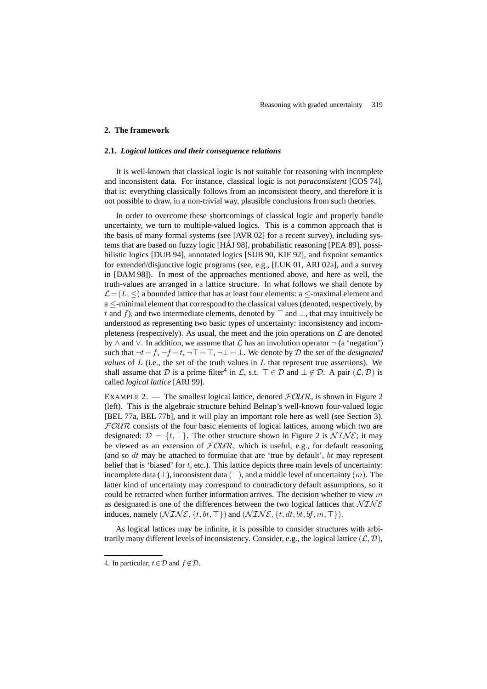#### **2. The framework**

#### **2.1.** *Logical lattices and their consequence relations*

It is well-known that classical logic is not suitable for reasoning with incomplete and inconsistent data. For instance, classical logic is not *paraconsistent* [COS 74], that is: everything classically follows from an inconsistent theory, and therefore it is not possible to draw, in a non-trivial way, plausible conclusions from such theories.

In order to overcome these shortcomings of classical logic and properly handle uncertainty, we turn to multiple-valued logics. This is a common approach that is the basis of many formal systems (see [AVR 02] for a recent survey), including systems that are based on fuzzy logic [HÁJ 98], probabilistic reasoning [PEA 89], possibilistic logics [DUB 94], annotated logics [SUB 90, KIF 92], and fixpoint semantics for extended/disjunctive logic programs (see, e.g., [LUK 01, ARI 02a], and a survey in [DAM 98]). In most of the approaches mentioned above, and here as well, the truth-values are arranged in a lattice structure. In what follows we shall denote by  $\mathcal{L} = (L, \leq)$  a bounded lattice that has at least four elements: a  $\leq$ -maximal element and a ≤-minimal element that correspond to the classical values (denoted, respectively, by t and f), and two intermediate elements, denoted by  $\top$  and  $\bot$ , that may intuitively be understood as representing two basic types of uncertainty: inconsistency and incompleteness (respectively). As usual, the meet and the join operations on  $\mathcal L$  are denoted by  $\land$  and  $\lor$ . In addition, we assume that  $\mathcal L$  has an involution operator  $\neg$  (a 'negation') such that  $\neg t = f, \neg f = t, \neg T = T, \neg \bot = \bot$ . We denote by D the set of the *designated values* of  $L$  (i.e., the set of the truth values in  $L$  that represent true assertions). We shall assume that D is a prime filter<sup>4</sup> in L, s.t.  $\top \in \mathcal{D}$  and  $\bot \notin \mathcal{D}$ . A pair  $(\mathcal{L}, \mathcal{D})$  is called *logical lattice* [ARI 99].

EXAMPLE 2. — The smallest logical lattice, denoted  $FOUR$ , is shown in Figure 2 (left). This is the algebraic structure behind Belnap's well-known four-valued logic [BEL 77a, BEL 77b], and it will play an important role here as well (see Section 3).  $FOUR$  consists of the four basic elements of logical lattices, among which two are designated:  $\mathcal{D} = \{t, \top\}$ . The other structure shown in Figure 2 is  $\mathcal{NINE}$ ; it may be viewed as an extension of  $FOUR$ , which is useful, e.g., for default reasoning (and so  $dt$  may be attached to formulae that are 'true by default',  $bt$  may represent belief that is 'biased' for  $t$ , etc.). This lattice depicts three main levels of uncertainty: incomplete data  $(\perp)$ , inconsistent data  $(\top)$ , and a middle level of uncertainty  $(m)$ . The latter kind of uncertainty may correspond to contradictory default assumptions, so it could be retracted when further information arrives. The decision whether to view  $m$ as designated is one of the differences between the two logical lattices that  $NTN\mathcal{E}$ induces, namely  $(\mathcal{N} \mathcal{I} \mathcal{N} \mathcal{E}, \{t, bt, \top\})$  and  $(\mathcal{N} \mathcal{I} \mathcal{N} \mathcal{E}, \{t, dt, bt, bf, m, \top\})$ .

As logical lattices may be infinite, it is possible to consider structures with arbitrarily many different levels of inconsistency. Consider, e.g., the logical lattice  $(L, \mathcal{D})$ ,

<sup>4.</sup> In particular,  $t \in \mathcal{D}$  and  $f \notin \mathcal{D}$ .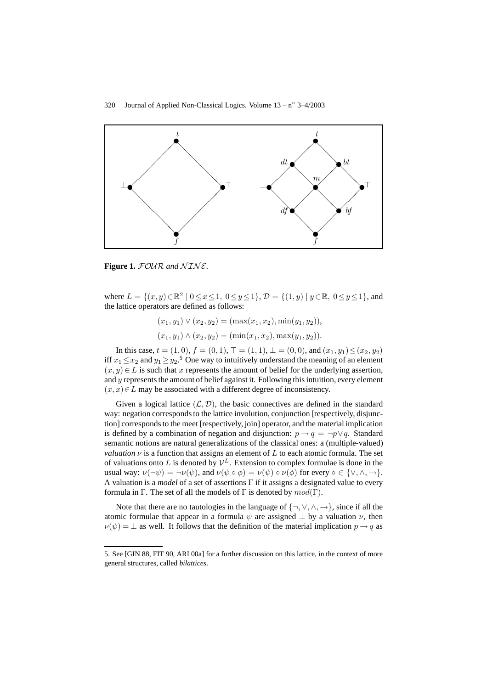

**Figure 1.**  $FOUR$  and  $NTNE$ .

where  $L = \{(x, y) \in \mathbb{R}^2 \mid 0 \le x \le 1, 0 \le y \le 1\}, \mathcal{D} = \{(1, y) \mid y \in \mathbb{R}, 0 \le y \le 1\},\$ and the lattice operators are defined as follows:

> $(x_1, y_1) \vee (x_2, y_2) = (\max(x_1, x_2), \min(y_1, y_2)),$  $(x_1, y_1) \wedge (x_2, y_2) = (\min(x_1, x_2), \max(y_1, y_2)).$

In this case,  $t = (1, 0), f = (0, 1), \top = (1, 1), \bot = (0, 0),$  and  $(x_1, y_1) \le (x_2, y_2)$ iff  $x_1 \le x_2$  and  $y_1 \ge y_2$ .<sup>5</sup> One way to intuitively understand the meaning of an element  $(x, y) \in L$  is such that x represents the amount of belief for the underlying assertion, and y represents the amount of belief against it. Following this intuition, every element  $(x, x) \in L$  may be associated with a different degree of inconsistency.

Given a logical lattice  $(\mathcal{L}, \mathcal{D})$ , the basic connectives are defined in the standard way: negation corresponds to the lattice involution, conjunction [respectively, disjunction] corresponds to the meet [respectively, join] operator, and the material implication is defined by a combination of negation and disjunction:  $p \rightarrow q = \neg p \lor q$ . Standard semantic notions are natural generalizations of the classical ones: a (multiple-valued) *valuation*  $\nu$  is a function that assigns an element of  $L$  to each atomic formula. The set of valuations onto L is denoted by  $\mathcal{V}^L$ . Extension to complex formulae is done in the usual way:  $\nu(\neg \psi) = \neg \nu(\psi)$ , and  $\nu(\psi \circ \phi) = \nu(\psi) \circ \nu(\phi)$  for every  $\circ \in \{\vee, \wedge, \rightarrow\}.$ A valuation is a *model* of a set of assertions Γ if it assigns a designated value to every formula in Γ. The set of all the models of Γ is denoted by  $mod(Γ)$ .

Note that there are no tautologies in the language of  $\{\neg, \vee, \wedge, \rightarrow\}$ , since if all the atomic formulae that appear in a formula  $\psi$  are assigned  $\bot$  by a valuation  $\nu$ , then  $\nu(\psi) = \bot$  as well. It follows that the definition of the material implication  $p \rightarrow q$  as

<sup>5</sup>. See [GIN 88, FIT 90, ARI 00a] for a further discussion on this lattice, in the context of more general structures, called *bilattices*.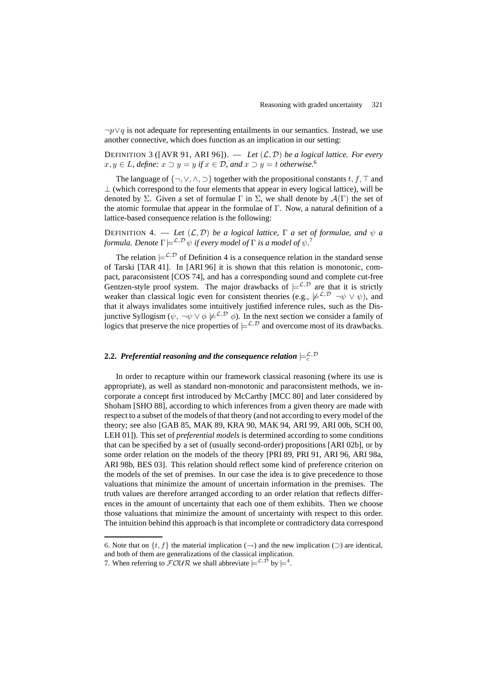$\neg p \lor q$  is not adequate for representing entailments in our semantics. Instead, we use another connective, which does function as an implication in our setting:

DEFINITION 3 ([AVR 91, ARI 96]). — *Let* (L, D) *be a logical lattice. For every*  $x, y \in L$ , define:  $x \supset y = y$  if  $x \in D$ , and  $x \supset y = t$  otherwise.<sup>6</sup>

The language of  $\{\neg, \vee, \wedge, \supset\}$  together with the propositional constants  $t, f, \top$  and  $\perp$  (which correspond to the four elements that appear in every logical lattice), will be denoted by Σ. Given a set of formulae Γ in Σ, we shall denote by  $\mathcal{A}(\Gamma)$  the set of the atomic formulae that appear in the formulae of Γ. Now, a natural definition of a lattice-based consequence relation is the following:

**DEFINITION** 4.  $-$  *Let*  $(\mathcal{L}, \mathcal{D})$  *be a logical lattice,*  $\Gamma$  *a set of formulae, and*  $\psi$  *a* formula. Denote  $\Gamma{\models^{\mathcal{L}, \mathcal{D}}\psi}$  if every model of  $\Gamma$  is a model of  $\psi$ .<sup>7</sup>

The relation  $\models^{\mathcal{L}, \mathcal{D}}$  of Definition 4 is a consequence relation in the standard sense of Tarski [TAR 41]. In [ARI 96] it is shown that this relation is monotonic, compact, paraconsistent [COS 74], and has a corresponding sound and complete cut-free Gentzen-style proof system. The major drawbacks of  $\models^{\mathcal{L}, \mathcal{D}}$  are that it is strictly weaker than classical logic even for consistent theories (e.g.,  $\not\models^{\mathcal{L},\mathcal{D}} \neg \psi \lor \psi$ ), and that it always invalidates some intuitively justified inference rules, such as the Disjunctive Syllogism ( $\psi$ ,  $\neg \psi \lor \phi \not\models^{\mathcal{L}, \mathcal{D}} \phi$ ). In the next section we consider a family of logics that preserve the nice properties of  $\models^{\mathcal{L},\mathcal{D}}$  and overcome most of its drawbacks.

# 2.2. Preferential reasoning and the consequence relation  $\models_c^{\mathcal{L}, \mathcal{D}}$

In order to recapture within our framework classical reasoning (where its use is appropriate), as well as standard non-monotonic and paraconsistent methods, we incorporate a concept first introduced by McCarthy [MCC 80] and later considered by Shoham [SHO 88], according to which inferences from a given theory are made with respect to a subset of the models of that theory (and not according to every model of the theory; see also [GAB 85, MAK 89, KRA 90, MAK 94, ARI 99, ARI 00b, SCH 00, LEH 01]). This set of *preferential models* is determined according to some conditions that can be specified by a set of (usually second-order) propositions [ARI 02b], or by some order relation on the models of the theory [PRI 89, PRI 91, ARI 96, ARI 98a, ARI 98b, BES 03]. This relation should reflect some kind of preference criterion on the models of the set of premises. In our case the idea is to give precedence to those valuations that minimize the amount of uncertain information in the premises. The truth values are therefore arranged according to an order relation that reflects differences in the amount of uncertainty that each one of them exhibits. Then we choose those valuations that minimize the amount of uncertainty with respect to this order. The intuition behind this approach is that incomplete or contradictory data correspond

<sup>6.</sup> Note that on  $\{t, f\}$  the material implication  $(\rightarrow)$  and the new implication  $(\supset)$  are identical, and both of them are generalizations of the classical implication.

<sup>7.</sup> When referring to  $\mathcal{FOUR}$  we shall abbreviate  $\models^{\mathcal{L}, \mathcal{D}}$  by  $\models^4$ .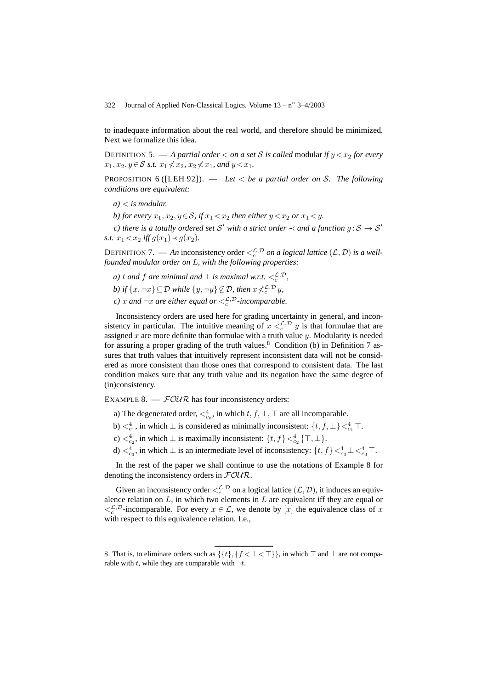to inadequate information about the real world, and therefore should be minimized. Next we formalize this idea.

DEFINITION 5. — *A partial order*  $\lt$  *on a set S is called modular if*  $y \lt x_2$  *for every*  $x_1, x_2, y \in S$  *s.t.*  $x_1 \nless x_2, x_2 \nless x_1$ *, and*  $y \le x_1$ *.* 

PROPOSITION 6 ([LEH 92]). — *Let* < *be a partial order on* S*. The following conditions are equivalent:*

- *a)* < *is modular.*
- *b)* for every  $x_1, x_2, y \in S$ , if  $x_1 < x_2$  then either  $y < x_2$  or  $x_1 < y$ .

*c*) there is a totally ordered set S' with a strict order  $\prec$  and a function  $g: S \to S'$ *s.t.*  $x_1 < x_2$  *iff*  $g(x_1) \prec g(x_2)$ *.* 

DEFINITION 7. — An inconsistency order  $\langle \xi, \mathcal{D} \rangle$  on a logical lattice  $(\mathcal{L}, \mathcal{D})$  is a well*founded modular order on* L*, with the following properties:*

- *a*) *t* and *f* are minimal and  $\top$  *is maximal w.r.t.*  $\lt_{c}^{\mathcal{L}, \mathcal{D}}$ ,
- *b*) if  $\{x, \neg x\} \subseteq \mathcal{D}$  while  $\{y, \neg y\} \nsubseteq \mathcal{D}$ , then  $x \nless \ell_c^{\mathcal{L}, \mathcal{D}} y$ ,
- *c*) x and  $\neg x$  are either equal or  $\lt_c^{L, \mathcal{D}}$ -incomparable.

Inconsistency orders are used here for grading uncertainty in general, and inconsistency in particular. The intuitive meaning of  $x <sub>c</sub><sup>\mathcal{L},\mathcal{D}</sup> y$  is that formulae that are assigned  $x$  are more definite than formulae with a truth value  $y$ . Modularity is needed for assuring a proper grading of the truth values.<sup>8</sup> Condition (b) in Definition 7 assures that truth values that intuitively represent inconsistent data will not be considered as more consistent than those ones that correspond to consistent data. The last condition makes sure that any truth value and its negation have the same degree of (in)consistency.

EXAMPLE 8.  $FOLR$  has four inconsistency orders:

- a) The degenerated order,  $\langle \xi_c^4 \rangle$ , in which  $t, f, \perp$ ,  $\top$  are all incomparable.
- b)  $\lt_{c_1}^4$ , in which  $\perp$  is considered as minimally inconsistent:  $\{t, f, \perp\} \lt_{c_1}^4 \top$ .
- c)  $\lt_{c_2}^4$ , in which  $\perp$  is maximally inconsistent:  $\{t, f\} \lt_{c_2}^4 \{\top, \perp\}.$
- d)  $\langle \xi_3^4, \xi_2^4 \rangle$  in which  $\perp$  is an intermediate level of inconsistency:  $\{t, f\} \langle \xi_3^4 \rangle \langle \xi_4^4 \rangle$ .

In the rest of the paper we shall continue to use the notations of Example 8 for denoting the inconsistency orders in  $\text{FOLR}$ .

Given an inconsistency order  $\langle \frac{\mathcal{L}}{c}, \mathcal{D} \rangle$  on a logical lattice  $(\mathcal{L}, \mathcal{D})$ , it induces an equivalence relation on  $L$ , in which two elements in  $L$  are equivalent iff they are equal or  $\langle \xi_c^{\mathcal{L}, \mathcal{D}}$ -incomparable. For every  $x \in \mathcal{L}$ , we denote by [x] the equivalence class of x with respect to this equivalence relation. I.e.,

<sup>8.</sup> That is, to eliminate orders such as  $\{\{t\}, \{f \leq \bot \leq \top\}\}\$ , in which  $\top$  and  $\bot$  are not comparable with t, while they are comparable with  $\neg t$ .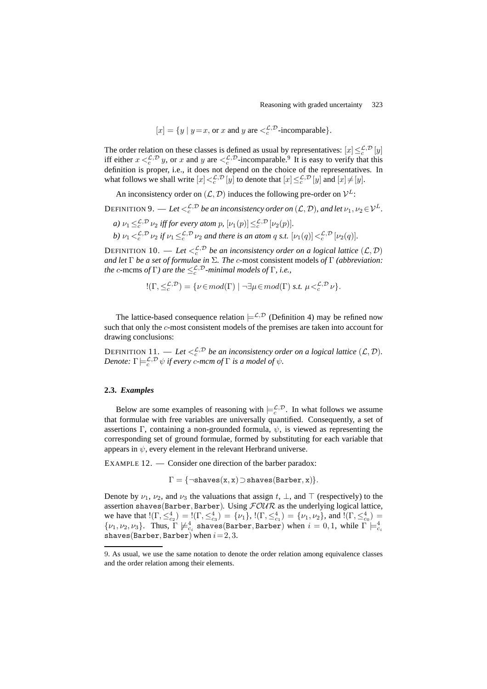$$
[x] = \{ y \mid y = x, \text{ or } x \text{ and } y \text{ are } \leq_c^{c, \mathcal{D}} \text{-incomparable} \}.
$$

The order relation on these classes is defined as usual by representatives:  $[x] \leq_c^{c,D} [y]$ iff either  $x <_{c}^{c,D} y$ , or x and y are  $\langle c^{c,D}$ -incomparable.<sup>9</sup> It is easy to verify that this definition is proper, i.e., it does not depend on the choice of the representatives. In what follows we shall write  $[x] <sub>c</sub><sup>C, D</sup> [y]$  to denote that  $[x] \leq_c^{C, D} [y]$  and  $[x] \neq [y]$ .

An inconsistency order on  $(\mathcal{L}, \mathcal{D})$  induces the following pre-order on  $\mathcal{V}^L$ :

DEFINITION 9. — Let  $\leq_c^{\mathcal{L}, \mathcal{D}}$  be an inconsistency order on  $(\mathcal{L}, \mathcal{D})$ , and let  $\nu_1, \nu_2 \in \mathcal{V}^L$ .

a) 
$$
\nu_1 \leq_c^{c, \mathcal{D}} \nu_2
$$
 iff for every atom p,  $[\nu_1(p)] \leq_c^{c, \mathcal{D}} [\nu_2(p)]$ .  
b)  $\nu_1 <_c^{c, \mathcal{D}} \nu_2$  if  $\nu_1 \leq_c^{c, \mathcal{D}} \nu_2$  and there is an atom q s.t.  $[\nu_1(q)] <_c^{c, \mathcal{D}} [\nu_2(q)]$ .

DEFINITION 10. — Let  $\langle \xi, \mathcal{D} \rangle$  be an inconsistency order on a logical lattice  $(\mathcal{L}, \mathcal{D})$ *and let* Γ *be a set of formulae in* Σ*. The* c-most consistent models *of* Γ *(abbreviation: the* c-mcms *of*  $\Gamma$ *)* are the  $\leq$ <sup>*c*</sup>,<sup>*n*</sup>-minimal models of  $\Gamma$ , i.e.,

$$
!(\Gamma, \leq_c^{\mathcal{L}, \mathcal{D}}) = {\nu \in mod(\Gamma) | \neg \exists \mu \in mod(\Gamma) \text{ s.t. } \mu <_c^{\mathcal{L}, \mathcal{D}} \nu}.
$$

The lattice-based consequence relation  $\models^{\mathcal{L},\mathcal{D}}$  (Definition 4) may be refined now such that only the c-most consistent models of the premises are taken into account for drawing conclusions:

DEFINITION 11. — Let  $\langle \xi, \mathcal{D} \rangle$  be an inconsistency order on a logical lattice  $(\mathcal{L}, \mathcal{D})$ . Denote:  $\Gamma \models_c^{\mathcal{L}, \mathcal{D}} \psi$  if every c-mcm of  $\Gamma$  is a model of  $\psi$ .

## **2.3.** *Examples*

Below are some examples of reasoning with  $\models_c^{\mathcal{L},\mathcal{D}}$ . In what follows we assume that formulae with free variables are universally quantified. Consequently, a set of assertions Γ, containing a non-grounded formula,  $\psi$ , is viewed as representing the corresponding set of ground formulae, formed by substituting for each variable that appears in  $\psi$ , every element in the relevant Herbrand universe.

EXAMPLE 12. — Consider one direction of the barber paradox:

$$
\Gamma = \{\neg \texttt{shaves}(x, x) \supset \texttt{shaves}(\texttt{Barber}, x)\}.
$$

Denote by  $\nu_1$ ,  $\nu_2$ , and  $\nu_3$  the valuations that assign t,  $\bot$ , and  $\top$  (respectively) to the assertion shaves(Barber, Barber). Using  $FOUR$  as the underlying logical lattice, we have that  $!(\Gamma, \leq_{c_2}^4) = !(\Gamma, \leq_{c_3}^4) = {\{\nu_1\}}, !(\Gamma, \leq_{c_1}^4) = {\{\nu_1,\nu_2\}}, \text{ and } !(\Gamma, \leq_{c_0}^4) = {\{\nu_2,\nu_3\}}$  $\{\nu_1,\nu_2,\nu_3\}$ . Thus,  $\Gamma\not\models^4_{c_i}$  shaves(Barber, Barber) when  $i=0,1$ , while  $\Gamma\models^4_{c_i}$ shaves(Barber, Barber) when  $i = 2, 3$ .

<sup>9</sup>. As usual, we use the same notation to denote the order relation among equivalence classes and the order relation among their elements.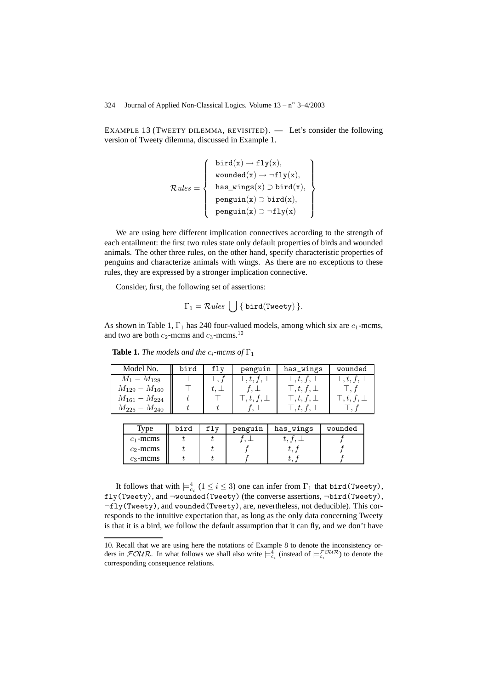EXAMPLE 13 (TWEETY DILEMMA, REVISITED). — Let's consider the following version of Tweety dilemma, discussed in Example 1.

$$
\mathcal{R}\text{ules} = \left\{\begin{array}{c} \texttt{bird}(x) \rightarrow \texttt{fly}(x), \\ \texttt{wounded}(x) \rightarrow \neg \texttt{fly}(x), \\ \texttt{has\_wings}(x) \supset \texttt{bird}(x), \\ \texttt{penguin}(x) \supset \texttt{bird}(x), \\ \texttt{penguin}(x) \supset \neg \texttt{fly}(x) \end{array}\right\}
$$

We are using here different implication connectives according to the strength of each entailment: the first two rules state only default properties of birds and wounded animals. The other three rules, on the other hand, specify characteristic properties of penguins and characterize animals with wings. As there are no exceptions to these rules, they are expressed by a stronger implication connective.

Consider, first, the following set of assertions:

$$
\Gamma_1 = {\cal R}ules \ \bigcup \ \{ \texttt{bird}(\texttt{Tweety}) \ \}.
$$

As shown in Table 1,  $\Gamma_1$  has 240 four-valued models, among which six are  $c_1$ -mcms, and two are both  $c_2$ -mcms and  $c_3$ -mcms.<sup>10</sup>

**Table 1.** *The models and the*  $c_i$ -mcms of  $\Gamma_1$ 

| Model No.           | bird | flv | penguin       | has_wings             | wounded |
|---------------------|------|-----|---------------|-----------------------|---------|
| $M_1 - M_{128}$     |      |     |               | $\top, t, f, \perp$   |         |
| $M_{129} - M_{160}$ |      |     |               | $\top$ , t, f, $\bot$ |         |
| $M_{161}-M_{224}$   |      |     | $t, t, \perp$ | $\top, t, f, \bot$    |         |
| $M_{225} - M_{240}$ |      |     |               |                       |         |

| Type        | bird | 177 | penguin | has_wings | wounded |
|-------------|------|-----|---------|-----------|---------|
| $c_1$ -mcms |      |     |         |           |         |
| $c_2$ -mcms |      |     |         | υ,        |         |
| $c_3$ -mcms |      |     |         | υ.        |         |

It follows that with  $\models_{c_i}^4 (1 \leq i \leq 3)$  one can infer from  $\Gamma_1$  that bird(Tweety), fly(Tweety), and ¬wounded(Tweety) (the converse assertions, ¬bird(Tweety),  $\neg fly(Tweety)$ , and wounded (Tweety), are, nevertheless, not deducible). This corresponds to the intuitive expectation that, as long as the only data concerning Tweety is that it is a bird, we follow the default assumption that it can fly, and we don't have

<sup>10</sup>. Recall that we are using here the notations of Example 8 to denote the inconsistency orders in  $\text{FOUR}$ . In what follows we shall also write  $\models_{c_i}^{\text{f}}$  (instead of  $\models_{c_i}^{\text{FOUR}}$ ) to denote the corresponding consequence relations.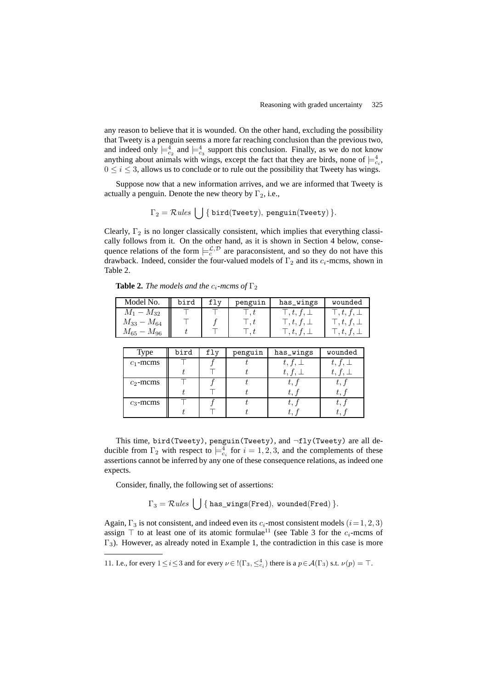any reason to believe that it is wounded. On the other hand, excluding the possibility that Tweety is a penguin seems a more far reaching conclusion than the previous two, and indeed only  $\models_{c_2}^4$  and  $\models_{c_3}^4$  support this conclusion. Finally, as we do not know anything about animals with wings, except the fact that they are birds, none of  $\models_{c_i}^4$ ,  $0 \le i \le 3$ , allows us to conclude or to rule out the possibility that Tweety has wings.

Suppose now that a new information arrives, and we are informed that Tweety is actually a penguin. Denote the new theory by  $\Gamma_2$ , i.e.,

$$
\Gamma_2 = {\cal R}ules \text{ } \big| \text{ } \big| \text{ } \{ \text{ bird(Tweety)}, \text{ penguin(Tweety)} \}.
$$

Clearly,  $\Gamma_2$  is no longer classically consistent, which implies that everything classically follows from it. On the other hand, as it is shown in Section 4 below, consequence relations of the form  $\models_c^{L,D}$  are paraconsistent, and so they do not have this drawback. Indeed, consider the four-valued models of  $\Gamma_2$  and its  $c_i$ -mcms, shown in Table 2.

**Table 2.** *The models and the*  $c_i$ *-mcms of*  $\Gamma_2$ 

| Model No.                      | bird | penguin | has_wings               | wounded |
|--------------------------------|------|---------|-------------------------|---------|
| $M_1 - M_{32}$                 |      |         | $\top, t, f, \bot$      |         |
| $M_{33}-M_{64}$                |      |         | $\perp$ , t, f, $\perp$ |         |
| $M_{65}$<br>$\sim -\,M_{96}$ . |      |         | $\cdot$ $\tau$ .        |         |

| Type        | bird | 1 L V | penguin | has_wings | wounded |
|-------------|------|-------|---------|-----------|---------|
| $c_1$ -mcms |      |       |         |           |         |
|             |      |       |         |           |         |
| $c_2$ -mcms |      |       |         | τ,        |         |
|             |      |       |         | ι,        |         |
| $c_3$ -mcms |      |       |         | τ,        |         |
|             |      |       |         | ι.        |         |

This time, bird(Tweety), penguin(Tweety), and  $\neg fly$ (Tweety) are all deducible from  $\Gamma_2$  with respect to  $\models_{c_i}^4$  for  $i=1,2,3$ , and the complements of these assertions cannot be inferred by any one of these consequence relations, as indeed one expects.

Consider, finally, the following set of assertions:

 $\Gamma_3 = {\cal R}$ ules  $\bigcup \, \{ \texttt{has\_wings}(\texttt{Fred}), \, \texttt{wounded}(\texttt{Fred}) \}.$ 

Again,  $\Gamma_3$  is not consistent, and indeed even its  $c_i$ -most consistent models ( $i = 1, 2, 3$ ) assign ⊤ to at least one of its atomic formulae<sup>11</sup> (see Table 3 for the  $c_i$ -mcms of  $\Gamma_3$ ). However, as already noted in Example 1, the contradiction in this case is more

<sup>11.</sup> I.e., for every  $1 \le i \le 3$  and for every  $\nu \in \{(\Gamma_3, \le_{c_i}^4) \text{ there is a } p \in \mathcal{A}(\Gamma_3) \text{ s.t. } \nu(p) = \top$ .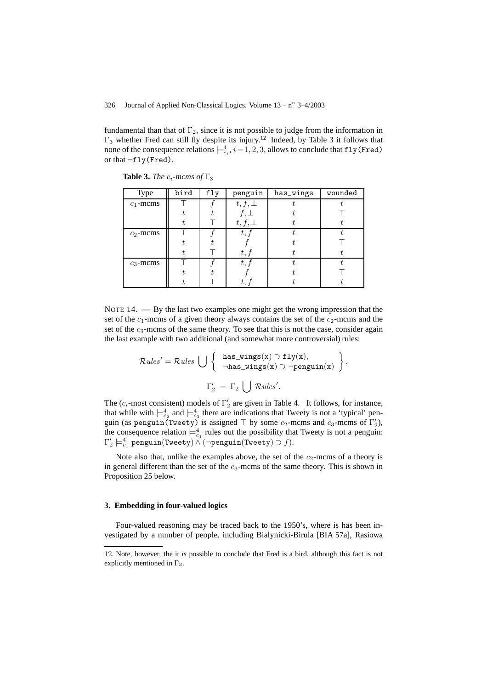fundamental than that of  $\Gamma_2$ , since it is not possible to judge from the information in  $\Gamma_3$  whether Fred can still fly despite its injury.<sup>12</sup> Indeed, by Table 3 it follows that none of the consequence relations  $\models_{c_i}^4$ ,  $i=1,2,3$ , allows to conclude that fly (Fred) or that ¬fly(Fred).

**Table 3.** *The*  $c_i$ *-mcms of*  $\Gamma_3$ 

| Type        | bird | fly | penguin       | has_wings | wounded |
|-------------|------|-----|---------------|-----------|---------|
| $c_1$ -mcms |      |     | $t, f, \perp$ |           |         |
|             |      |     |               |           |         |
|             |      |     | $t, t, \perp$ |           |         |
| $c_2$ -mcms |      |     |               |           |         |
|             |      |     |               |           |         |
|             |      |     | ι.            |           |         |
| $c_3$ -mcms |      |     | τ,            |           |         |
|             |      |     |               |           |         |
|             |      |     |               |           |         |

NOTE  $14.$  — By the last two examples one might get the wrong impression that the set of the  $c_1$ -mcms of a given theory always contains the set of the  $c_2$ -mcms and the set of the  $c_3$ -mcms of the same theory. To see that this is not the case, consider again the last example with two additional (and somewhat more controversial) rules:

$$
\mathcal{R}ules' = \mathcal{R}ules \cup \left\{ \begin{array}{c} \mathtt{has\_wings(x)} \supset \mathtt{fly(x)}, \\ \neg \mathtt{has\_wings(x)} \supset \neg \mathtt{penguin(x)} \end{array} \right\},
$$

$$
\Gamma_2' = \Gamma_2 \bigcup \mathcal{R}ules'.
$$

The ( $c_i$ -most consistent) models of  $\Gamma'_2$  are given in Table 4. It follows, for instance, that while with  $\models_{c_2}^4$  and  $\models_{c_3}^4$  there are indications that Tweety is not a 'typical' penguin (as penguin(Tweety) is assigned  $\top$  by some  $c_2$ -mcms and  $c_3$ -mcms of  $\Gamma'_2$ ), the consequence relation  $\models_{c_1}^4$  rules out the possibility that Tweety is not a penguin:  $\Gamma'_2\models^4_{c_1}$  penguin(Tweety)  $\wedge$  (¬penguin(Tweety)  $\supset f).$ 

Note also that, unlike the examples above, the set of the  $c_2$ -mcms of a theory is in general different than the set of the  $c_3$ -mcms of the same theory. This is shown in Proposition 25 below.

## **3. Embedding in four-valued logics**

Four-valued reasoning may be traced back to the 1950's, where is has been investigated by a number of people, including Bialynicki-Birula [BIA 57a], Rasiowa

<sup>12</sup>. Note, however, the it *is* possible to conclude that Fred is a bird, although this fact is not explicitly mentioned in  $\Gamma_3$ .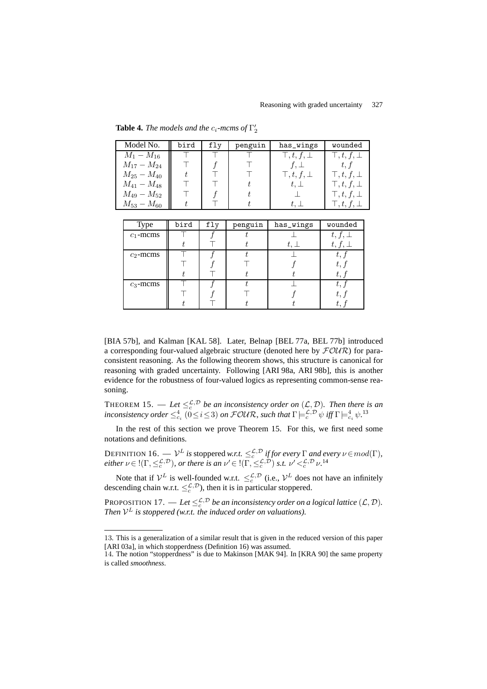| Model No.         | bird | flv | penguin | has_wings          | wounded               |
|-------------------|------|-----|---------|--------------------|-----------------------|
| $M_1 - M_{16}$    |      |     |         | $\top, t, f, \bot$ | $\top, t, f, \bot$    |
| $M_{17}-M_{24}$   |      |     |         |                    |                       |
| $M_{25}-M_{40}$   |      |     |         | $\top, t, f, \bot$ | $\top, t, f, \bot$    |
| $M_{41} - M_{48}$ |      |     |         | $t_{\rm t}$ .      | $\top, t, f, \bot$    |
| $M_{49}-M_{52}$   |      |     |         |                    | $\ulcorner,t,f,\perp$ |
| $M_{53}-M_{60}$   |      |     |         |                    |                       |

**Table 4.** *The models and the*  $c_i$ -mcms of  $\Gamma'_2$ 

| Type        | bird | fly | penguin | has_wings | wounded |
|-------------|------|-----|---------|-----------|---------|
| $c_1$ -mcms |      |     |         |           |         |
|             |      |     |         |           |         |
| $c_2$ -mcms |      |     |         |           |         |
|             |      |     |         |           |         |
|             |      |     |         |           |         |
| $c_3$ -mcms |      |     |         |           |         |
|             |      |     |         |           |         |
|             |      |     |         |           |         |

[BIA 57b], and Kalman [KAL 58]. Later, Belnap [BEL 77a, BEL 77b] introduced a corresponding four-valued algebraic structure (denoted here by  $FOWR$ ) for paraconsistent reasoning. As the following theorem shows, this structure is canonical for reasoning with graded uncertainty. Following [ARI 98a, ARI 98b], this is another evidence for the robustness of four-valued logics as representing common-sense reasoning.

**THEOREM** 15.  $\qquad Let \leq_{c}^{\mathcal{L}, \mathcal{D}}$  be an inconsistency order on  $(\mathcal{L}, \mathcal{D})$ . Then there is an  $\hat{C}$  *inconsistency order*  $\leq^4_{c_i} (0 \leq i \leq 3)$  *on FOUR, such that*  $\Gamma \models^{ \mathcal{L} , \mathcal{D} }_c \psi$  *iff*  $\Gamma \models^{4}_{c_i} \psi^{13}$ 

In the rest of this section we prove Theorem 15. For this, we first need some notations and definitions.

DEFINITION 16. —  $V^L$  *is* stoppered *w.r.t.*  $\leq_c^{L,D}$  *if for every*  $\Gamma$  *and every*  $\nu \in mod(\Gamma)$ *,*  $\text{either } \nu \in \{(\Gamma, \leq^{\mathcal{L}, \mathcal{D}}_c), \text{ or there is an } \nu' \in \{(\Gamma, \leq^{\mathcal{L}, \mathcal{D}}_c) \text{ s.t. } \nu' <^{\mathcal{L}, \mathcal{D}}_c \nu.$ <sup>14</sup>

Note that if  $V^L$  is well-founded w.r.t.  $\leq_c^{\mathcal{L},\mathcal{D}}$  (i.e.,  $V^L$  does not have an infinitely descending chain w.r.t.  $\leq_c^{\mathcal{L},\mathcal{D}}$ , then it is in particular stoppered.

PROPOSITION 17. — Let  $\leq_c^{\mathcal{L}, \mathcal{D}}$  be an inconsistency order on a logical lattice  $(\mathcal{L}, \mathcal{D})$ . Then  $\mathcal{V}^L$  is stoppered (w.r.t. the induced order on valuations).

<sup>13</sup>. This is a generalization of a similar result that is given in the reduced version of this paper [ARI 03a], in which stopperdness (Definition 16) was assumed.

<sup>14</sup>. The notion "stopperdness" is due to Makinson [MAK 94]. In [KRA 90] the same property is called *smoothness*.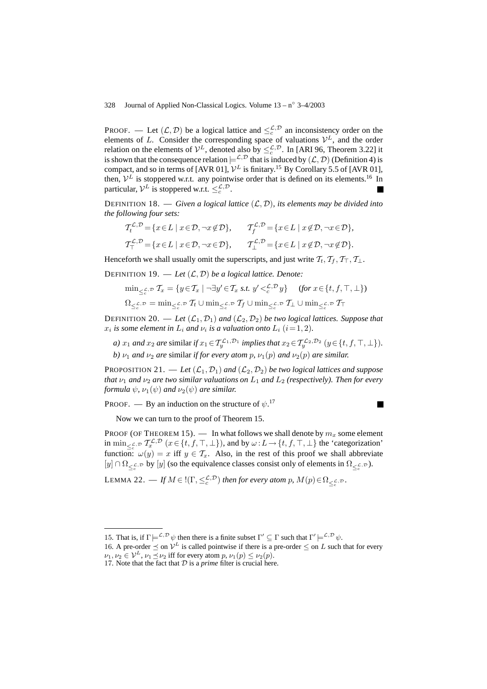PROOF. — Let  $(L, \mathcal{D})$  be a logical lattice and  $\leq_c^{\mathcal{L}, \mathcal{D}}$  an inconsistency order on the elements of L. Consider the corresponding space of valuations  $\mathcal{V}^L$ , and the order relation on the elements of  $\mathcal{V}^L$ , denoted also by  $\leq_c^{\mathcal{L}, \mathcal{D}}$ . In [ARI 96, Theorem 3.22] it is shown that the consequence relation  $\models^{\mathcal{L},\mathcal{D}}$  that is induced by  $(\mathcal{L},\mathcal{D})$  (Definition 4) is compact, and so in terms of [AVR 01],  $\mathcal{V}^L$  is finitary.<sup>15</sup> By Corollary 5.5 of [AVR 01], then,  $V^L$  is stoppered w.r.t. any pointwise order that is defined on its elements.<sup>16</sup> In particular,  $V^L$  is stoppered w.r.t.  $\leq_c^{\mathcal{L}, \mathcal{D}}$ . ■

DEFINITION 18. — *Given a logical lattice*  $(L, D)$ *, its elements may be divided into the following four sets:*

$$
T_t^{\mathcal{L},\mathcal{D}} = \{x \in L \mid x \in \mathcal{D}, \neg x \notin \mathcal{D}\}, \qquad T_f^{\mathcal{L},\mathcal{D}} = \{x \in L \mid x \notin \mathcal{D}, \neg x \in \mathcal{D}\},
$$
  

$$
T_\top^{\mathcal{L},\mathcal{D}} = \{x \in L \mid x \in \mathcal{D}, \neg x \in \mathcal{D}\}, \qquad T_\bot^{\mathcal{L},\mathcal{D}} = \{x \in L \mid x \notin \mathcal{D}, \neg x \notin \mathcal{D}\}.
$$

Henceforth we shall usually omit the superscripts, and just write  $\mathcal{T}_t, \mathcal{T}_f, \mathcal{T}_\top, \mathcal{T}_\bot$ .

DEFINITION 19.  $-\text{Let } (\mathcal{L}, \mathcal{D})$  *be a logical lattice. Denote:* 

$$
\min_{\leq \mathcal{E}, \mathcal{D}} \mathcal{T}_x = \{ y \in \mathcal{T}_x \mid \neg \exists y' \in \mathcal{T}_x \text{ s.t. } y' <^{\mathcal{L}, \mathcal{D}}_c y \} \quad (\text{for } x \in \{t, f, \top, \bot\})
$$
\n
$$
\Omega_{\leq \mathcal{E}, \mathcal{D}} = \min_{\leq \mathcal{E}, \mathcal{D}} \mathcal{T}_t \cup \min_{\leq \mathcal{E}, \mathcal{D}} \mathcal{T}_f \cup \min_{\leq \mathcal{E}, \mathcal{D}} \mathcal{T}_\bot \cup \min_{\leq \mathcal{E}, \mathcal{D}} \mathcal{T}_\top
$$

DEFINITION 20. — Let  $(L_1, D_1)$  and  $(L_2, D_2)$  be two logical lattices. Suppose that  $x_i$  is some element in  $L_i$  and  $\nu_i$  is a valuation onto  $L_i$   $(i=1,2)$ .

- *a*)  $x_1$  *and*  $x_2$  *are* similar *if*  $x_1 \in \mathcal{T}_y^{\mathcal{L}_1, \mathcal{D}_1}$  *implies that*  $x_2 \in \mathcal{T}_y^{\mathcal{L}_2, \mathcal{D}_2}$   $(y \in \{t, f, \top, \bot\}).$
- *b)*  $\nu_1$  *and*  $\nu_2$  *are* similar *if for every atom* p,  $\nu_1(p)$  *and*  $\nu_2(p)$  *are similar.*

PROPOSITION 21. — Let  $(\mathcal{L}_1, \mathcal{D}_1)$  and  $(\mathcal{L}_2, \mathcal{D}_2)$  be two logical lattices and suppose *that*  $\nu_1$  *and*  $\nu_2$  *are two similar valuations on*  $L_1$  *and*  $L_2$  *(respectively). Then for every formula*  $\psi$ ,  $\nu_1(\psi)$  *and*  $\nu_2(\psi)$  *are similar.* 

PROOF. — By an induction on the structure of  $\psi$ .<sup>17</sup>  $17 \quad \blacksquare$ 

Now we can turn to the proof of Theorem 15.

PROOF (OF THEOREM 15). — In what follows we shall denote by  $m_x$  some element in  $\min_{\leq \xi, \mathcal{D}} \mathcal{T}_{x}^{\mathcal{L}, \mathcal{D}}$   $(x \in \{t, f, \top, \bot\})$ , and by  $\omega : L \to \{t, f, \top, \bot\}$  the 'categorization' function:  $\omega(y) = x$  iff  $y \in \mathcal{T}_x$ . Also, in the rest of this proof we shall abbreviate  $[y] \cap \Omega_{\leq \frac{c}{c}}, \infty$  by  $[y]$  (so the equivalence classes consist only of elements in  $\Omega_{\leq \frac{c}{c}}, \infty$ ).

LEMMA 22.  $\blacksquare$  *If*  $M \in \{(\Gamma, \leq^{\mathcal{L}, \mathcal{D}}_\mathcal{C}) \}$  then for every atom  $p$ ,  $M(p) \in \Omega_{\leq^{\mathcal{L}, \mathcal{D}}_\mathcal{C}}$ .

<sup>15.</sup> That is, if  $\Gamma \models^{\mathcal{L}, \mathcal{D}} \psi$  then there is a finite subset  $\Gamma' \subseteq \Gamma$  such that  $\Gamma' \models^{\mathcal{L}, \mathcal{D}} \psi$ .

<sup>16.</sup> A pre-order  $\preceq$  on  $\mathcal{V}^L$  is called pointwise if there is a pre-order  $\leq$  on L such that for every  $\nu_1, \nu_2 \in \mathcal{V}^L$ ,  $\nu_1 \preceq \nu_2$  iff for every atom  $p, \nu_1(p) \leq \nu_2(p)$ .

<sup>17</sup>. Note that the fact that D is a *prime* filter is crucial here.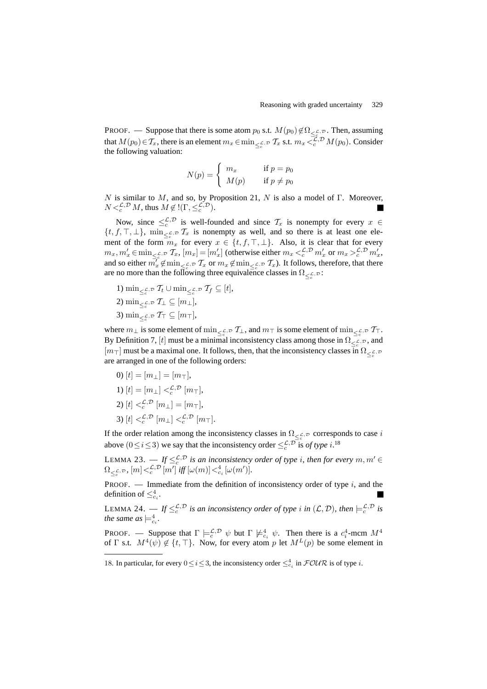PROOF. — Suppose that there is some atom  $p_0$  s.t.  $M(p_0) \notin \Omega_{\leq \frac{c}{c}, \mathcal{D}}$ . Then, assuming that  $M(p_0) \in \mathcal{T}_x$ , there is an element  $m_x \in \min_{\leq \xi, \mathcal{D}} \mathcal{T}_x$  s.t.  $m_x \leq_c^{\mathcal{L}, \mathcal{D}} M(p_0)$ . Consider the following valuation:

$$
N(p) = \begin{cases} m_x & \text{if } p = p_0 \\ M(p) & \text{if } p \neq p_0 \end{cases}
$$

N is similar to M, and so, by Proposition 21, N is also a model of  $\Gamma$ . Moreover,  $N <sub>c</sub><sup>*C*,*D*</sup> M$ , thus  $M \notin \{(\Gamma, \leq^{{\mathcal L}, {\mathcal D}}_c)$  $\blacksquare$ ).

Now, since  $\leq_c^{\mathcal{L},\mathcal{D}}$  is well-founded and since  $\mathcal{T}_x$  is nonempty for every  $x \in$  $\{t, f, \top, \bot\}$ ,  $\min_{\leq \varepsilon, \mathcal{D}} \mathcal{T}_x$  is nonempty as well, and so there is at least one element of the form  $m_x$  for every  $x \in \{t, f, \top, \bot\}$ . Also, it is clear that for every  $m_x, m'_x \in \min_{\leq c, \mathcal{D}} \mathcal{T}_x$ ,  $[m_x] = [m'_x]$  (otherwise either  $m_x <_csupc, \mathcal{D} m'_x$  or  $m_x >_c^{\mathcal{L}, \mathcal{D}} m'_x$ , and so either  $m_x \not\in \min_{\leq \varepsilon, \mathcal{D}} \mathcal{T}_x$  or  $m_x \not\in \min_{\leq \varepsilon, \mathcal{D}} \mathcal{T}_x$ ). It follows, therefore, that there are no more than the following three equivalence classes in  $\Omega_{\leq \frac{c}{c}, p}$ :

1)  $\min_{\leq \frac{c}{c},\mathcal{D}} \mathcal{T}_t \cup \min_{\leq \frac{c}{c},\mathcal{D}} \mathcal{T}_f \subseteq [t],$ 2)  $\min_{\leq c, \mathcal{D}} \mathcal{T}_{\perp} \subseteq [m_{\perp}],$ 3)  $\min_{\leq c, \mathcal{D}} \mathcal{T}_{\top} \subseteq [m_{\top}],$ 

where  $m_{\perp}$  is some element of  $\min_{\leq \xi, \mathcal{D}} \mathcal{T}_{\perp}$ , and  $m_{\perp}$  is some element of  $\min_{\leq \xi, \mathcal{D}} \mathcal{T}_{\top}$ . By Definition 7, [t] must be a minimal inconsistency class among those in  $\Omega_{\leq \xi, \mathcal{D}}^{\leq c}$ , and [ $m\tau$ ] must be a maximal one. It follows, then, that the inconsistency classes in  $\Omega_{\leq \xi, \mathcal{D}}$ are arranged in one of the following orders:

0) 
$$
[t] = [m_{\perp}] = [m_{\perp}],
$$
  
\n1)  $[t] = [m_{\perp}] < \frac{\mathcal{L}}{c} \mathcal{D} [m_{\perp}],$   
\n2)  $[t] < \frac{\mathcal{L}}{c} \mathcal{D} [m_{\perp}] = [m_{\perp}],$   
\n3)  $[t] < \frac{\mathcal{L}}{c} \mathcal{D} [m_{\perp}] < \frac{\mathcal{L}}{c} \mathcal{D} [m_{\perp}].$ 

If the order relation among the inconsistency classes in  $\Omega_{\leq \frac{c}{c}, \mathcal{D}}$  corresponds to case i above  $(0 \le i \le 3)$  we say that the inconsistency order  $\leq_c^{\mathcal{L}}, \overline{\mathcal{L}}_c^{\ge c}$  is of type i.<sup>18</sup>

LEMMA 23.  $\_\_\_\_$  *If*  $\leq^{\mathcal{L}, \mathcal{D}}_{c}$  *is an inconsistency order of type i, then for every*  $m, m' \in$  $\Omega_{\leq c,\mathcal{D},\Sigma}\left[m\right]\leq c^{c,\mathcal{D}}_{c}[m']$  iff  $[\omega(m)]\leq c_{c_{i}}^{4}[\omega(m')].$ 

PROOF.  $-$  Immediate from the definition of inconsistency order of type  $i$ , and the definition of  $\leq_{c_i}^4$ .  $\frac{4}{c_i}$ .

LEMMA 24.  $\blacksquare$  *If*  $\leq$ <sup>c</sup>,<sup> $\mathcal{D}$ </sup> is an inconsistency order of type i in  $(\mathcal{L}, \mathcal{D})$ , then  $\models_c^{\mathcal{L}, \mathcal{D}}$  is *the same as*  $\models_{c_i}^4$ .

PROOF. — Suppose that  $\Gamma \models_c^{\mathcal{L}, \mathcal{D}} \psi$  but  $\Gamma \not\models_{c_i}^4 \psi$ . Then there is a  $c_i^4$ -mcm  $M^4$ of  $\Gamma$  s.t.  $M^4(\psi) \notin \{t, \top\}$ . Now, for every atom p let  $M^L(p)$  be some element in

<sup>18.</sup> In particular, for every  $0 \le i \le 3$ , the inconsistency order  $\le_{c_i}^4$  in  $\text{FOUR}$  is of type *i*.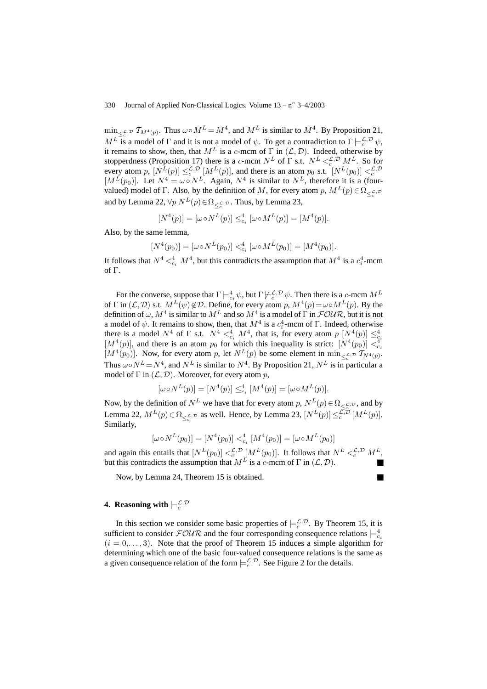$\min_{\leq \mathcal{L}^c} \mathcal{T}_{M^4(p)}$ . Thus  $\omega \circ M^L = M^4$ , and  $M^L$  is similar to  $M^4$ . By Proposition 21,  $M^{\frac{1}{2}}$  is a model of  $\Gamma$  and it is not a model of  $\psi$ . To get a contradiction to  $\Gamma \models_c^{\mathcal{L}, \mathcal{D}} \psi$ , it remains to show, then, that  $M^L$  is a c-mcm of  $\Gamma$  in  $(\mathcal{L}, \mathcal{D})$ . Indeed, otherwise by stopperdness (Proposition 17) there is a c-mcm  $N^L$  of  $\Gamma$  s.t.  $N^L <sub>c</sub>$ ,  $\mathcal{D}$   $M^L$ . So for every atom p,  $[N^L(p)] \leq_c^{L,D} [M^L(p)]$ , and there is an atom  $p_0$  s.t.  $[N^L(p_0)] <_c^{L,D} [M^L(p_0)]$ . Let  $N^4 = \omega \circ N^L$ . Again,  $N^4$  is similar to  $N^L$ , therefore it is a (fourvalued) model of Γ. Also, by the definition of M, for every atom  $p$ ,  $M<sup>L</sup>(p) \in \Omega_{\leq \frac{c}{c}, \mathcal{D}}$ and by Lemma 22,  $\forall p \; N^L(p) \in \Omega_{\leq \frac{c}{c}, p}$ . Thus, by Lemma 23,

$$
[N^4(p)] = [\omega \circ N^L(p)] \leq_{c_i}^4 [\omega \circ M^L(p)] = [M^4(p)].
$$

Also, by the same lemma,

$$
[N^4(p_0)] = [\omega \circ N^L(p_0)] <_{c_i}^4 [\omega \circ M^L(p_0)] = [M^4(p_0)].
$$

It follows that  $N^4 <_{c_i}^4 M^4$ , but this contradicts the assumption that  $M^4$  is a  $c_i^4$ -mcm of Γ.

For the converse, suppose that  $\Gamma \models_{c_i}^4 \psi$ , but  $\Gamma \not\models_c^{L,D} \psi$ . Then there is a c-mcm  $M^L$ of  $\Gamma$  in  $(L, \mathcal{D})$  s.t.  $M^{L}(\psi) \notin \mathcal{D}$ . Define, for every atom  $p$ ,  $M^{4}(p) = \omega \circ M^{L}(p)$ . By the definition of  $\omega, M^4$  is similar to  $M^L$  and so  $M^4$  is a model of  $\Gamma$  in  $\mathcal{FOUR}$ , but it is not a model of  $\psi$ . It remains to show, then, that  $M^4$  is a  $c_i^4$ -mcm of  $\Gamma$ . Indeed, otherwise there is a model  $N^4$  of  $\Gamma$  s.t.  $N^4 <_{c_i}^4 M^4$ , that is, for every atom  $p[N^4(p)] \leq_{c_i}^4 [M^4(p)]$ , and there is an atom  $p_0$  for which this inequality is strict:  $[N^4(p_0)] <_{c_i}^4 [M^4(p_0)]$ . Now, for every atom  $p$ , let Thus  $\omega \circ N^L = N^4$ , and  $N^L$  is similar to  $N^4$ . By Proposition 21,  $N^L$  is in particular a model of  $\Gamma$  in  $(\mathcal{L}, \mathcal{D})$ . Moreover, for every atom p,

$$
[\omega \circ N^{L}(p)] = [N^{4}(p)] \leq_{c_i}^{4} [M^{4}(p)] = [\omega \circ M^{L}(p)].
$$

Now, by the definition of  $N^L$  we have that for every atom  $p$ ,  $N^L(p) \in \Omega_{\leq \frac{c}{c},\mathcal{D}}$ , and by Lemma 22,  $M^{L}(p) \in \Omega_{\leq \xi, \mathcal{D}}$  as well. Hence, by Lemma 23,  $[N^{L}(p)] \leq \xi, \mathcal{D}^{L}(p)[M^{L}(p)]$ . Similarly,

$$
[\omega \circ N^{L}(p_0)] = [N^4(p_0)] <_{c_i}^4 [M^4(p_0)] = [\omega \circ M^{L}(p_0)]
$$

and again this entails that  $[N^L(p_0)] <_c^{L, \mathcal{D}} [M^L(p_0)]$ . It follows that  $N^L <_c^{L, \mathcal{D}} M^L$ , but this contradicts the assumption that  $M^L$  is a c-mcm of  $\Gamma$  in  $(\mathcal{L}, \mathcal{D})$ .

Now, by Lemma 24, Theorem 15 is obtained. ■

4. Reasoning with 
$$
\models_c^{\mathcal{L},\mathcal{D}}
$$

In this section we consider some basic properties of  $\models_c^{\mathcal{L},\mathcal{D}}$ . By Theorem 15, it is sufficient to consider  $\mathcal{FOUR}$  and the four corresponding consequence relations  $\models_{c_i}^4$  $(i = 0, \ldots, 3)$ . Note that the proof of Theorem 15 induces a simple algorithm for determining which one of the basic four-valued consequence relations is the same as a given consequence relation of the form  $\models_c^{\mathcal{L},\mathcal{D}}$ . See Figure 2 for the details.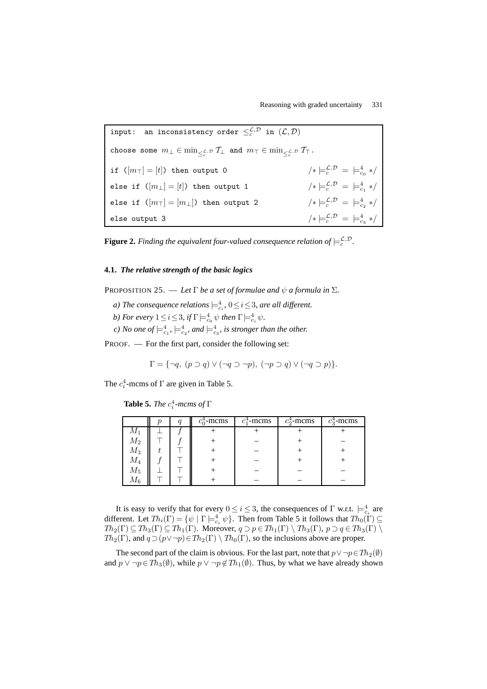input: an inconsistency order  $\leq_c^{\mathcal{L},\mathcal{D}}$  in  $(\mathcal{L},\mathcal{D})$ choose some  $m_\perp\in \min_{\leq c,\mathcal{D}}\mathcal{T}_\perp$  and  $m_\top\in \min_{\leq c,\mathcal{D}}\mathcal{T}_\top$ . if  $([m_\top] = [t])$  then output 0  $c^{\mathcal{L,D}}\ =\ \models_{c_0}^4\ast/$ else if  $([m_\perp] = [t])$  then output 1  $c^{\mathcal{L,D}}\ =\ \models^4_{c_1}\ast/$ else if  $([m_\top] = [m_\bot])$  then output 2  $c^{\mathcal{L},\mathcal{D}}\ =\ \models^4_{c_2}\ast/$ else output 3  $c^{\mathcal{L},\mathcal{D}} \;=\; \models^4_{c_3} \ast /$ 

**Figure 2.** Finding the equivalent four-valued consequence relation of  $\models_c^{\mathcal{L},\mathcal{D}}$ .

#### **4.1.** *The relative strength of the basic logics*

PROPOSITION 25. — *Let*  $\Gamma$  *be a set of formulae and*  $\psi$  *a formula in*  $\Sigma$ *.* 

- *a*) The consequence relations  $\models_{c_i}^4$ ,  $0 \le i \le 3$ , are all different.
- *b*) For every  $1 \leq i \leq 3$ , if  $\Gamma \models_{c_0}^4 \psi$  then  $\Gamma \models_{c_i}^4 \psi$ .
- *c*) No one of  $\models_{c_1}^4, \models_{c_2}^4$ , and  $\models_{c_3}^4$ , is stronger than the other.

PROOF. — For the first part, consider the following set:

$$
\Gamma = \{\neg q, (p \supset q) \vee (\neg q \supset \neg p), (\neg p \supset q) \vee (\neg q \supset p)\}.
$$

The  $c_i^4$ -mcms of  $\Gamma$  are given in Table 5.

**Table 5.** *The*  $c_i^4$ -mcms of  $\Gamma$ 

|                | D | $c_0^4$ -mcms | $c_1^4$ -mcms | $c_2^4$ -mcms | $c_3^*$ -mcms |
|----------------|---|---------------|---------------|---------------|---------------|
| M <sub>1</sub> |   |               |               |               |               |
| $M_2$          |   |               |               |               |               |
| $M_3$          |   |               |               |               |               |
| $M_4$          |   |               |               |               |               |
| $M_5$          |   |               |               |               |               |
| $M_6$          |   |               |               |               |               |

It is easy to verify that for every  $0 \le i \le 3$ , the consequences of  $\Gamma$  w.r.t.  $\models_{c_i}^4$  are different. Let  $Th_i(\Gamma) = \{ \psi \mid \Gamma \models_{c_i}^4 \psi \}$ . Then from Table 5 it follows that  $Th_0(\Gamma) \subseteq$  $Th_2(\Gamma) \subseteq Th_3(\Gamma) \subseteq Th_1(\Gamma)$ . Moreover,  $q \supset p \in Th_1(\Gamma) \setminus Th_3(\Gamma)$ ,  $p \supset q \in Th_3(\Gamma) \setminus$  $Th_2(\Gamma)$ , and  $q \supset (p \vee \neg p) \in Th_2(\Gamma) \setminus Th_0(\Gamma)$ , so the inclusions above are proper.

The second part of the claim is obvious. For the last part, note that  $p \vee \neg p \in Th_2(\emptyset)$ and  $p \vee \neg p \in Th_3(\emptyset)$ , while  $p \vee \neg p \notin Th_1(\emptyset)$ . Thus, by what we have already shown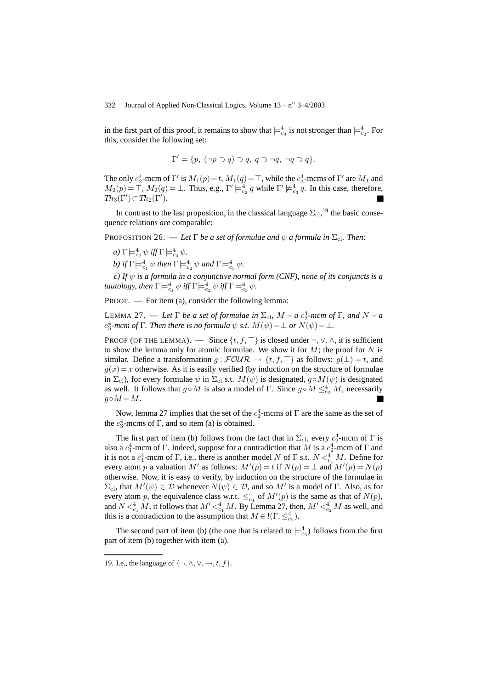in the first part of this proof, it remains to show that  $\models^4_{c_3}$  is not stronger than  $\models^4_{c_2}$ . For this, consider the following set:

$$
\Gamma' = \{p, (\neg p \supset q) \supset q, q \supset \neg q, \neg q \supset q\}.
$$

The only  $c_2^4$ -mcm of  $\Gamma'$  is  $M_1(p)=t$ ,  $M_1(q)=\top$ , while the  $c_3^4$ -mcms of  $\Gamma'$  are  $M_1$  and  $M_2(p) = \top$ ,  $M_2(q) = \bot$ . Thus, e.g.,  $\Gamma' \models_{c_2}^4 q$  while  $\Gamma' \not\models_{c_3}^4 q$ . In this case, therefore,  $Th_3(\Gamma') \subset Th_2(\Gamma')$  $\blacksquare$ ).

In contrast to the last proposition, in the classical language  $\Sigma_{\text{cl}}$ ,<sup>19</sup> the basic consequence relations *are* comparable:

PROPOSITION 26. — *Let*  $\Gamma$  *be a set of formulae and*  $\psi$  *a formula in*  $\Sigma_{\text{cl}}$ *. Then:* 

 $a)$   $\Gamma \models_{c_2}^4 \psi$  *iff*  $\Gamma \models_{c_3}^4 \psi$ .

b) if  $\Gamma \models^4_{c_1} \psi$  then  $\Gamma \models^4_{c_2} \psi$  and  $\Gamma \models^4_{c_3} \psi$ .

*c*) If  $\psi$  *is a formula in a conjunctive normal form (CNF), none of its conjuncts is a* tautology, then  $\Gamma \models^4_{c_1} \psi$  iff  $\Gamma \models^4_{c_2} \psi$  iff  $\Gamma \models^4_{c_3} \psi$ .

PROOF. — For item (a), consider the following lemma:

LEMMA 27. — Let  $\Gamma$  be a set of formulae in  $\Sigma_{\text{cl}}$ ,  $M - a$   $c_2^4$ -mcm of  $\Gamma$ , and  $N - a$  $c_3^4$ -mcm of  $\Gamma$ *. Then there is no formula*  $\psi$  *s.t.*  $M(\psi) = \bot$  *or*  $N(\psi) = \bot$ *.* 

PROOF (OF THE LEMMA). — Since  $\{t, f, \top\}$  is closed under  $\neg, \vee, \wedge$ , it is sufficient to show the lemma only for atomic formulae. We show it for  $M$ ; the proof for  $N$  is similar. Define a transformation  $g : \mathcal{FOUR} \to \{t, f, \top\}$  as follows:  $g(\bot) = t$ , and  $q(x) = x$  otherwise. As it is easily verified (by induction on the structure of formulae in  $\Sigma_{\text{cl}}$ ), for every formulae  $\psi$  in  $\Sigma_{\text{cl}}$  s.t.  $M(\psi)$  is designated,  $g \circ M(\psi)$  is designated as well. It follows that  $g \circ M$  is also a model of  $\Gamma$ . Since  $g \circ M \leq_{c_2}^4 M$ , necessarily  $g \circ M = M$ .

Now, lemma 27 implies that the set of the  $c_2^4$ -mcms of  $\Gamma$  are the same as the set of the  $c_3^4$ -mcms of  $\Gamma$ , and so item (a) is obtained.

The first part of item (b) follows from the fact that in  $\Sigma_{\text{cl}}$ , every  $c_2^4$ -mcm of  $\Gamma$  is also a  $c_1^4$ -mcm of  $\Gamma$ . Indeed, suppose for a contradiction that M is a  $c_2^4$ -mcm of  $\Gamma$  and it is not a  $c_1^4$ -mcm of  $\Gamma$ , i.e., there is another model N of  $\Gamma$  s.t.  $N <_{c_1}^4 M$ . Define for every atom p a valuation M' as follows:  $M'(p) = t$  if  $N(p) = \perp$  and  $M'(p) = N(p)$ otherwise. Now, it is easy to verify, by induction on the structure of the formulae in  $\Sigma_{\text{cl}}$ , that  $M'(\psi) \in \mathcal{D}$  whenever  $N(\psi) \in \mathcal{D}$ , and so  $M'$  is a model of  $\Gamma$ . Also, as for every atom p, the equivalence class w.r.t.  $\leq_{c_1}^4$  of  $M'(p)$  is the same as that of  $N(p)$ , and  $N <^4_{c_1} M$ , it follows that  $M' <^4_{c_1} M$ . By Lemma 27, then,  $M' <^4_{c_2} M$  as well, and this is a contradiction to the assumption that  $M \in \{(\Gamma, \leq^4_{c_2})\}$ .

The second part of item (b) (the one that is related to  $\models_{c_3}^4$ ) follows from the first part of item (b) together with item (a).

<sup>19.</sup> I.e., the language of  $\{\neg, \wedge, \vee, \rightarrow, t, f\}.$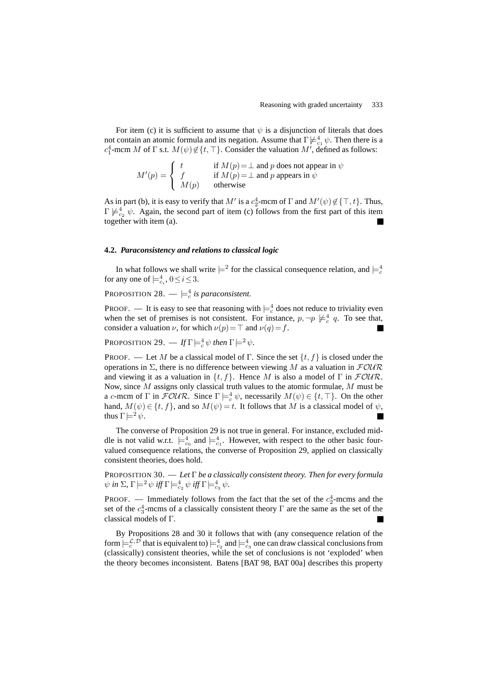For item (c) it is sufficient to assume that  $\psi$  is a disjunction of literals that does not contain an atomic formula and its negation. Assume that  $\Gamma \not\models^4_{c_1} \psi$ . Then there is a  $c_1^4$ -mcm M of  $\Gamma$  s.t.  $M(\psi) \notin \{t, \top\}$ . Consider the valuation  $M'$ , defined as follows:

$$
M'(p) = \begin{cases} t & \text{if } M(p) = \bot \text{ and } p \text{ does not appear in } \psi \\ f & \text{if } M(p) = \bot \text{ and } p \text{ appears in } \psi \\ M(p) & \text{otherwise} \end{cases}
$$

As in part (b), it is easy to verify that  $M'$  is a  $c_2^4$ -mcm of  $\Gamma$  and  $M'(\psi) \notin {\{\top, t\}}$ . Thus,  $\Gamma \not\models^4_{c_2} \psi$ . Again, the second part of item (c) follows from the first part of this item together with item (a).

#### **4.2.** *Paraconsistency and relations to classical logic*

In what follows we shall write  $\models^2$  for the classical consequence relation, and  $\models_c^4$ for any one of  $\models_{c_i}^4$ ,  $0 \le i \le 3$ .

PROPOSITION 28.  $-\models_c^4$  is paraconsistent.

PROOF. — It is easy to see that reasoning with  $\models_c^4$  does not reduce to triviality even when the set of premises is not consistent. For instance,  $p, \neg p \not\models^4_c q$ . To see that, consider a valuation  $\nu$ , for which  $\nu(p)=\top$  and  $\nu(q)=f$ .

# PROPOSITION 29. — If  $\Gamma \models_c^4 \psi$  then  $\Gamma \models^2 \psi$ .

PROOF. — Let M be a classical model of  $\Gamma$ . Since the set  $\{t, f\}$  is closed under the operations in  $\Sigma$ , there is no difference between viewing M as a valuation in  $\mathcal{FOUR}$ and viewing it as a valuation in  $\{t, f\}$ . Hence M is also a model of  $\Gamma$  in  $\mathcal{FOUR}$ . Now, since M assigns only classical truth values to the atomic formulae, M must be a c-mcm of  $\Gamma$  in  $\mathcal{FOUR}$ . Since  $\Gamma \models^4_c \psi$ , necessarily  $M(\psi) \in \{t, \top\}$ . On the other hand,  $M(\psi) \in \{t, f\}$ , and so  $M(\psi) = t$ . It follows that M is a classical model of  $\psi$ , thus  $\Gamma \models^2 \psi$ .

The converse of Proposition 29 is not true in general. For instance, excluded middle is not valid w.r.t.  $\models_{c_0}^4$  and  $\models_{c_1}^4$ . However, with respect to the other basic fourvalued consequence relations, the converse of Proposition 29, applied on classically consistent theories, does hold.

PROPOSITION 30. — *Let* Γ *be a classically consistent theory. Then for every formula*  $\psi$  *in*  $\Sigma$ ,  $\Gamma \models^2 \psi$  *iff*  $\Gamma \models^4_{c_2} \psi$  *iff*  $\Gamma \models^4_{c_3} \psi$ .

PROOF. — Immediately follows from the fact that the set of the  $c_2^4$ -mcms and the set of the  $c_3^4$ -mcms of a classically consistent theory  $\Gamma$  are the same as the set of the classical models of  $\Gamma$ .

By Propositions 28 and 30 it follows that with (any consequence relation of the form  $\models_c^{\mathcal{L}, \mathcal{D}}$  that is equivalent to)  $\models_{c_2}^4$  and  $\models_{c_3}^4$  one can draw classical conclusions from (classically) consistent theories, while the set of conclusions is not 'exploded' when the theory becomes inconsistent. Batens [BAT 98, BAT 00a] describes this property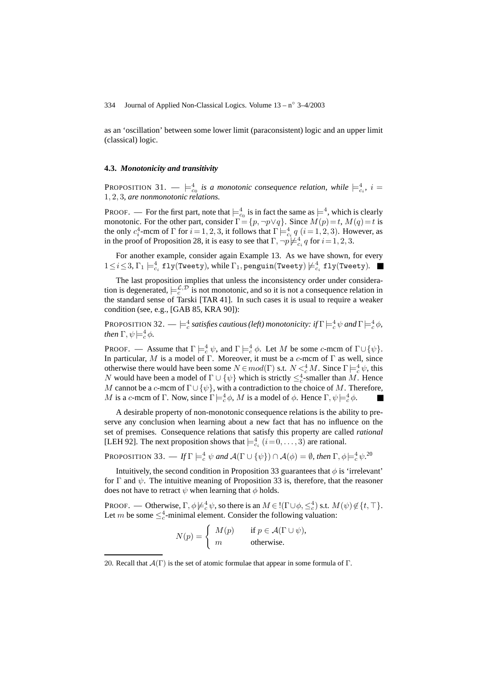as an 'oscillation' between some lower limit (paraconsistent) logic and an upper limit (classical) logic.

#### **4.3.** *Monotonicity and transitivity*

**PROPOSITION 31.**  $\longmapsto$   $\models_{c_0}^4$  is a monotonic consequence relation, while  $\models_{c_i}^4$ , i = 1, 2, 3*, are nonmonotonic relations.*

PROOF. — For the first part, note that  $\models_{c_0}^4$  is in fact the same as  $\models^4$ , which is clearly monotonic. For the other part, consider  $\Gamma = \{p, \neg p \lor q\}$ . Since  $M(p) = t$ ,  $M(q) = t$  is the only  $c_i^4$ -mcm of  $\Gamma$  for  $i = 1, 2, 3$ , it follows that  $\Gamma \models_{c_i}^4 q_i (i = 1, 2, 3)$ . However, as in the proof of Proposition 28, it is easy to see that  $\Gamma$ ,  $\neg p \not\models^4_{c_i} q$  for  $i = 1, 2, 3$ .

For another example, consider again Example 13. As we have shown, for every  $1\!\leq\! i\!\leq\! 3,\Gamma_1\models^4_{c_i} \mathtt{fly}(\mathtt{Tweety}),$  while  $\Gamma_1,$  penguin(Tweety)  $\not\models^4_{c_i} \mathtt{fly}(\mathtt{Tweety}).$   $\blacksquare$ 

The last proposition implies that unless the inconsistency order under consideration is degenerated,  $\models_c^{\mathcal{L}, \mathcal{D}}$  is not monotonic, and so it is not a consequence relation in the standard sense of Tarski [TAR 41]. In such cases it is usual to require a weaker condition (see, e.g., [GAB 85, KRA 90]):

PROPOSITION 32.  $-\models_c^4$  *satisfies cautious (left) monotonicity: if*  $\Gamma \models_c^4 \psi$  *and*  $\Gamma \models_c^4 \phi$ , *then*  $\Gamma, \psi \models^4_c \phi$ .

PROOF. — Assume that  $\Gamma \models^4_c \psi$ , and  $\Gamma \models^4_c \phi$ . Let M be some c-mcm of  $\Gamma \cup \{\psi\}$ . In particular,  $M$  is a model of  $\Gamma$ . Moreover, it must be a  $c$ -mcm of  $\Gamma$  as well, since otherwise there would have been some  $N \in mod(\Gamma)$  s.t.  $N \leq_c^4 M$ . Since  $\Gamma \models_c^4 \psi$ , this *N* would have been a model of  $\Gamma \cup \{\psi\}$  which is strictly  $\leq_c^4$ -smaller than M. Hence M cannot be a c-mcm of  $\Gamma \cup \{\psi\}$ , with a contradiction to the choice of M. Therefore, M is a c-mcm of Γ. Now, since  $\Gamma \models_c^4 \phi$ , M is a model of  $\phi$ . Hence  $\Gamma, \psi \models_c^4 \phi$ .

A desirable property of non-monotonic consequence relations is the ability to preserve any conclusion when learning about a new fact that has no influence on the set of premises. Consequence relations that satisfy this property are called *rational* [LEH 92]. The next proposition shows that  $\models_{c_i}^4 (i=0,\ldots,3)$  are rational.

PROPOSITION 33. — If  $\Gamma \models_c^4 \psi$  and  $\mathcal{A}(\Gamma \cup \{\psi\}) \cap \mathcal{A}(\phi) = \emptyset$ , then  $\Gamma, \phi \models_c^4 \psi$ .<sup>20</sup>

Intuitively, the second condition in Proposition 33 guarantees that  $\phi$  is 'irrelevant' for Γ and  $\psi$ . The intuitive meaning of Proposition 33 is, therefore, that the reasoner does not have to retract  $\psi$  when learning that  $\phi$  holds.

PROOF. — Otherwise,  $\Gamma$ ,  $\phi \not\models^4_c \psi$ , so there is an  $M \in \{(\Gamma \cup \phi, \leq^4_c) \text{ s.t. } M(\psi) \not\in \{t, \top\}.$ Let m be some  $\leq_c^4$ -minimal element. Consider the following valuation:

$$
N(p) = \begin{cases} M(p) & \text{if } p \in \mathcal{A}(\Gamma \cup \psi), \\ m & \text{otherwise.} \end{cases}
$$

<sup>20.</sup> Recall that  $\mathcal{A}(\Gamma)$  is the set of atomic formulae that appear in some formula of  $\Gamma$ .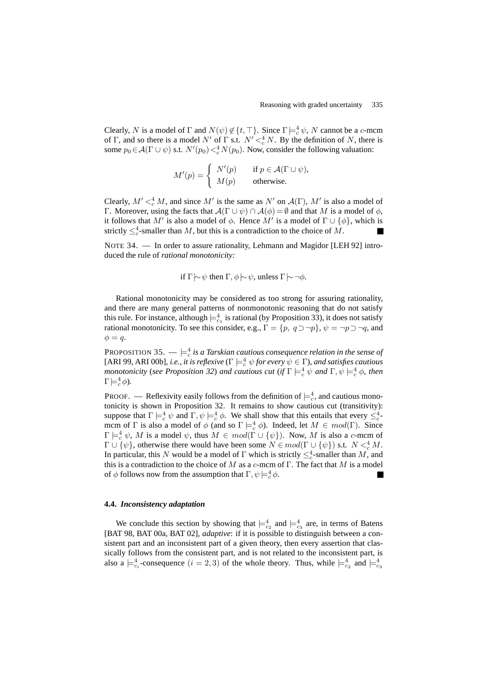Clearly, N is a model of  $\Gamma$  and  $N(\psi) \notin \{t, \top\}$ . Since  $\Gamma \models_c^4 \psi$ , N cannot be a c-mcm of Γ, and so there is a model N' of Γ s.t.  $N' <sub>c</sub><sup>4</sup> N$ . By the definition of N, there is some  $p_0 \in A(\Gamma \cup \psi)$  s.t.  $N'(p_0) <_c^4 N(p_0)$ . Now, consider the following valuation:

$$
M'(p) = \begin{cases} N'(p) & \text{if } p \in \mathcal{A}(\Gamma \cup \psi), \\ M(p) & \text{otherwise.} \end{cases}
$$

Clearly,  $M' <^4_c M$ , and since  $M'$  is the same as  $N'$  on  $\mathcal{A}(\Gamma)$ ,  $M'$  is also a model of Γ. Moreover, using the facts that  $\mathcal{A}(\Gamma \cup \psi) \cap \mathcal{A}(\phi) = \emptyset$  and that M is a model of  $\phi$ , it follows that M' is also a model of  $\phi$ . Hence M' is a model of  $\Gamma \cup \{\phi\}$ , which is strictly  $\leq_c^4$ -smaller than M, but this is a contradiction to the choice of M.

NOTE 34. — In order to assure rationality, Lehmann and Magidor [LEH 92] introduced the rule of *rational monotonicity:*

if 
$$
\Gamma \sim \psi
$$
 then  $\Gamma$ ,  $\phi \sim \psi$ , unless  $\Gamma \sim \neg \phi$ .

Rational monotonicity may be considered as too strong for assuring rationality, and there are many general patterns of nonmonotonic reasoning that do not satisfy this rule. For instance, although  $\models_{c_1}^4$  is rational (by Proposition 33), it does not satisfy rational monotonicity. To see this consider, e.g.,  $\Gamma = \{p, q \supset \neg p\}, \psi = \neg p \supset \neg q$ , and  $\phi = q.$ 

PROPOSITION 35.  $- \models_c^4$  is a Tarskian cautious consequence relation in the sense of [ARI 99, ARI 00b]*, i.e., it is reflexive* ( $\Gamma \models^4_c \psi$  *for every*  $\psi \in \Gamma$ *), and satisfies cautious monotonicity* (*see Proposition 32*) *and cautious cut* (*if*  $\Gamma \models_c^4 \psi$  *and*  $\Gamma, \psi \models_c^4 \phi$ *, then*  $\Gamma \models^4_c \phi$ ).

PROOF. — Reflexivity easily follows from the definition of  $\models_c^4$ , and cautious monotonicity is shown in Proposition 32. It remains to show cautious cut (transitivity): suppose that  $\Gamma \models^4_c \psi$  and  $\Gamma, \psi \models^4_c \phi$ . We shall show that this entails that every  $\leq^4_c$ . mcm of  $\Gamma$  is also a model of  $\phi$  (and so  $\Gamma \models_c^4 \phi$ ). Indeed, let  $M \in mod(\Gamma)$ . Since  $\Gamma \models_c^4 \psi$ , M is a model  $\psi$ , thus  $M \in mod(\Gamma \cup \{\psi\})$ . Now, M is also a c-mcm of  $\Gamma \cup \{\psi\}$ , otherwise there would have been some  $N \in mod(\Gamma \cup \{\psi\})$  s.t.  $N <^4_c M$ . In particular, this N would be a model of  $\Gamma$  which is strictly  $\leq_c^4$ -smaller than M, and this is a contradiction to the choice of M as a c-mcm of  $\Gamma$ . The fact that M is a model of  $\phi$  follows now from the assumption that  $\Gamma, \psi \models^4_c \phi$ .  $\frac{4}{c}\phi$ .

#### **4.4.** *Inconsistency adaptation*

We conclude this section by showing that  $\models_{c_2}^4$  and  $\models_{c_3}^4$  are, in terms of Batens [BAT 98, BAT 00a, BAT 02], *adaptive*: if it is possible to distinguish between a consistent part and an inconsistent part of a given theory, then every assertion that classically follows from the consistent part, and is not related to the inconsistent part, is also a  $\models_{c_i}^4$ -consequence  $(i = 2, 3)$  of the whole theory. Thus, while  $\models_{c_2}^4$  and  $\models_{c_3}^4$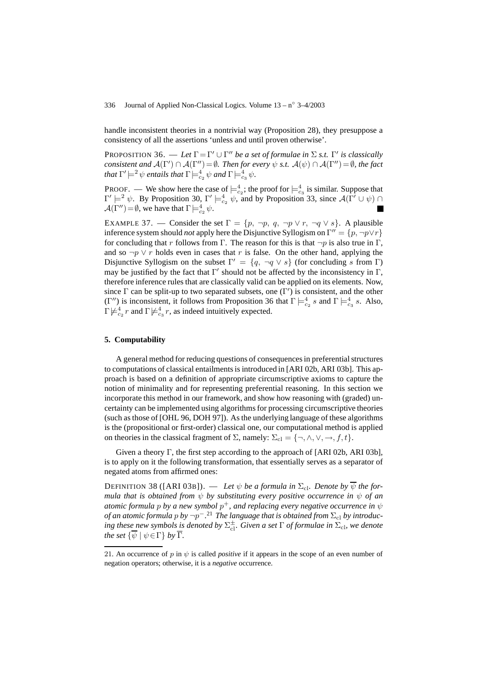handle inconsistent theories in a nontrivial way (Proposition 28), they presuppose a consistency of all the assertions 'unless and until proven otherwise'.

**PROPOSITION 36.** — Let  $\Gamma = \Gamma' \cup \Gamma''$  be a set of formulae in  $\Sigma$  s.t.  $\Gamma'$  is classically *consistent and*  $\mathcal{A}(\Gamma') \cap \mathcal{A}(\Gamma'') = \emptyset$ *. Then for every*  $\psi$  *s.t.*  $\mathcal{A}(\psi) \cap \mathcal{A}(\Gamma'') = \emptyset$ *, the fact that*  $\Gamma' \models^2 \psi$  *entails that*  $\Gamma \models^4_{c_2} \psi$  *and*  $\Gamma \models^4_{c_3} \psi$ .

PROOF. — We show here the case of  $\models_{c_2}^4$ ; the proof for  $\models_{c_3}^4$  is similar. Suppose that  $\Gamma' \models^2 \psi$ . By Proposition 30, Γ'  $\models^4_{c_2} \psi$ , and by Proposition 33, since  $\mathcal{A}(\Gamma' \cup \psi)$  ∩  $\mathcal{A}(\Gamma'') = \emptyset$ , we have that  $\Gamma \models_{c_2}^4 \psi$ .

EXAMPLE 37. — Consider the set  $\Gamma = \{p, \neg p, q, \neg p \lor r, \neg q \lor s\}$ . A plausible inference system should *not* apply here the Disjunctive Syllogism on  $\Gamma'' = \{p, \neg p \lor r\}$ for concluding that r follows from Γ. The reason for this is that  $\neg p$  is also true in Γ, and so  $\neg p \lor r$  holds even in cases that r is false. On the other hand, applying the Disjunctive Syllogism on the subset  $\Gamma' = \{q, \neg q \lor s\}$  (for concluding s from  $\Gamma$ ) may be justified by the fact that  $\Gamma'$  should not be affected by the inconsistency in  $\Gamma$ , therefore inference rules that are classically valid can be applied on its elements. Now, since  $\Gamma$  can be split-up to two separated subsets, one  $(\Gamma')$  is consistent, and the other (Γ'') is inconsistent, it follows from Proposition 36 that  $\Gamma \models_{c_2}^4 s$  and  $\Gamma \models_{c_3}^4 s$ . Also,  $\Gamma \not\models^4_{c_2} r$  and  $\Gamma \not\models^4_{c_3} r$ , as indeed intuitively expected.

#### **5. Computability**

A general method for reducing questions of consequences in preferential structures to computations of classical entailments is introduced in [ARI 02b, ARI 03b]. This approach is based on a definition of appropriate circumscriptive axioms to capture the notion of minimality and for representing preferential reasoning. In this section we incorporate this method in our framework, and show how reasoning with (graded) uncertainty can be implemented using algorithms for processing circumscriptive theories (such as those of [OHL 96, DOH 97]). As the underlying language of these algorithms is the (propositional or first-order) classical one, our computational method is applied on theories in the classical fragment of  $\Sigma$ , namely:  $\Sigma_{\text{cl}} = \{\neg, \wedge, \vee, \rightarrow, f, t\}.$ 

Given a theory Γ, the first step according to the approach of [ARI 02b, ARI 03b], is to apply on it the following transformation, that essentially serves as a separator of negated atoms from affirmed ones:

DEFINITION 38 ([ARI 03B]). — Let  $\psi$  be a formula in  $\Sigma_{\text{cl}}$ . Denote by  $\overline{\psi}$  the for*mula that is obtained from* ψ *by substituting every positive occurrence in* ψ *of an atomic formula* p *by a new symbol* p <sup>+</sup>*, and replacing every negative occurrence in* ψ *of an atomic formula* p *by* ¬p −*.* <sup>21</sup> *The language that is obtained from* Σcl *by introducing these new symbols is denoted by* Σ ± cl*. Given a set* Γ *of formulae in* Σcl*, we denote the set*  $\{\overline{\psi} \mid \psi \in \Gamma\}$  *by*  $\overline{\Gamma}$ *.* 

<sup>21.</sup> An occurrence of p in  $\psi$  is called *positive* if it appears in the scope of an even number of negation operators; otherwise, it is a *negative* occurrence.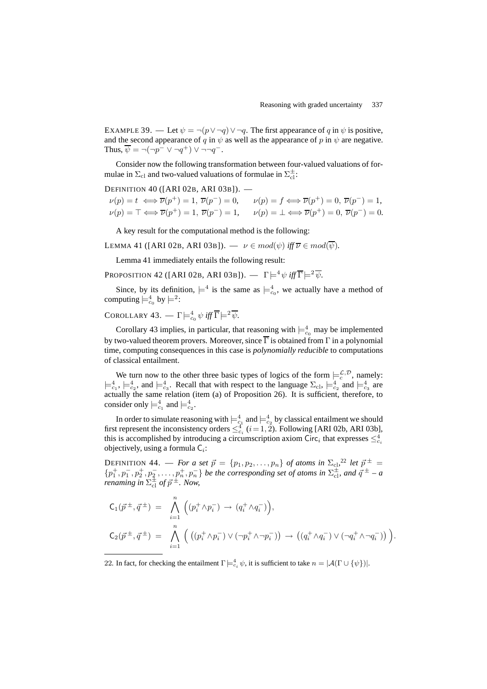EXAMPLE 39. — Let  $\psi = \neg(p \lor \neg q) \lor \neg q$ . The first appearance of q in  $\psi$  is positive, and the second appearance of q in  $\psi$  as well as the appearance of p in  $\psi$  are negative. Thus,  $\overline{\psi} = \neg(\neg p^- \lor \neg q^+) \lor \neg \neg q^-$ .

Consider now the following transformation between four-valued valuations of formulae in  $\Sigma_{\text{cl}}$  and two-valued valuations of formulae in  $\Sigma_{\text{cl}}^{\pm}$ :

DEFINITION 40 ([ARI 02B, ARI 03B]). —

$$
\nu(p) = t \iff \overline{\nu}(p^+) = 1, \ \overline{\nu}(p^-) = 0, \qquad \nu(p) = f \iff \overline{\nu}(p^+) = 0, \ \overline{\nu}(p^-) = 1, \n\nu(p) = \top \iff \overline{\nu}(p^+) = 1, \ \overline{\nu}(p^-) = 1, \qquad \nu(p) = \bot \iff \overline{\nu}(p^+) = 0, \ \overline{\nu}(p^-) = 0.
$$

A key result for the computational method is the following:

LEMMA 41 ([ARI 02B, ARI 03B]). —  $\nu \in mod(\psi)$  *iff*  $\overline{\nu} \in mod(\overline{\psi})$ .

Lemma 41 immediately entails the following result:

PROPOSITION 42 ([ARI 02B, ARI 03B]). —  $\Gamma \models^4 \psi$  *iff*  $\overline{\Gamma} \models^2 \overline{\psi}$ .

Since, by its definition,  $\models^4$  is the same as  $\models^4_{c_0}$ , we actually have a method of computing  $\models_{c_0}^4$  by  $\models^2$ :

COROLLARY 43. —  $\Gamma \models^4_{c_0} \psi$  iff  $\overline{\Gamma} \models^2 \overline{\psi}$ .

Corollary 43 implies, in particular, that reasoning with  $\models_{c_0}^4$  may be implemented by two-valued theorem provers. Moreover, since  $\overline{\Gamma}$  is obtained from  $\Gamma$  in a polynomial time, computing consequences in this case is *polynomially reducible* to computations of classical entailment.

We turn now to the other three basic types of logics of the form  $\models_c^{\mathcal{L},\mathcal{D}}$ , namely:  $\models^4_{c_1}, \models^4_{c_2}$ , and  $\models^4_{c_3}$ . Recall that with respect to the language  $\Sigma_{c}$ ,  $\models^4_{c_2}$  and  $\models^4_{c_3}$  are actually the same relation (item (a) of Proposition 26). It is sufficient, therefore, to consider only  $\models_{c_1}^4$  and  $\models_{c_2}^4$ .

In order to simulate reasoning with  $\models_{c_1}^4$  and  $\models_{c_2}^4$  by classical entailment we should first represent the inconsistency orders  $\leq_{c_i}^4$   $(i=1, 2)$ . Following [ARI 02b, ARI 03b], this is accomplished by introducing a circumscription axiom Circ<sub>i</sub> that expresses  $\leq_{c_i}^4$ objectively, using a formula  $C_i$ :

DEFINITION 44. — *For a set*  $\vec{p} = \{p_1, p_2, \ldots, p_n\}$  *of atoms in*  $\Sigma_{\text{cl}}$ ,  $^{22}$  *let*  $\vec{p}^{\,\pm}$  =  $\{p_1^+, p_1^-, p_2^+, p_2^-, \ldots, p_n^+, p_n^-\}$  *be the corresponding set of atoms in*  $\Sigma_{\text{cl}}^{\pm}$ *, and*  $\vec{q}^{\,\pm}$  *– a renaming in*  $\Sigma_{\text{cl}}^{\pm}$  *of*  $\vec{p}^{\pm}$ *. Now,* 

$$
C_1(\vec{p}^{\,\pm},\vec{q}^{\,\pm}) = \bigwedge_{i=1}^n \Big( (p_i^+ \wedge p_i^-) \to (q_i^+ \wedge q_i^-) \Big),
$$
  

$$
C_2(\vec{p}^{\,\pm},\vec{q}^{\,\pm}) = \bigwedge_{i=1}^n \Big( \big( (p_i^+ \wedge p_i^-) \vee (\neg p_i^+ \wedge \neg p_i^-) \big) \to \big( (q_i^+ \wedge q_i^-) \vee (\neg q_i^+ \wedge \neg q_i^-) \big) \Big).
$$

22. In fact, for checking the entailment  $\Gamma \models_{c_i}^4 \psi$ , it is sufficient to take  $n = |\mathcal{A}(\Gamma \cup \{\psi\})|$ .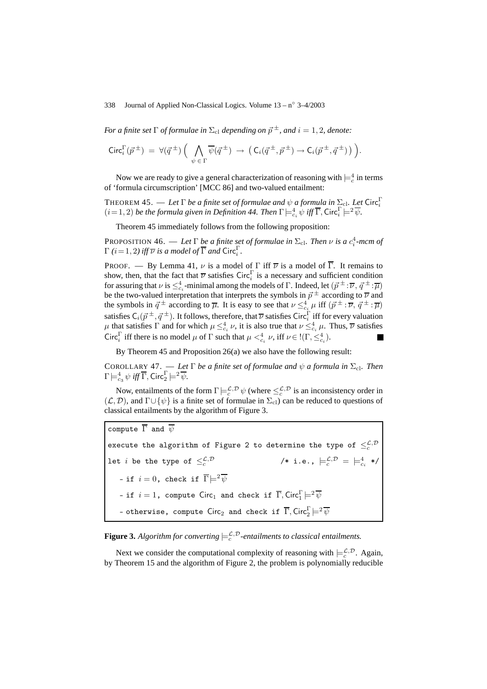*For a finite set*  $\Gamma$  *of formulae in*  $\Sigma_{\text{cl}}$  *depending on*  $\vec{p}^{\,\pm}$ *, and*  $i = 1, 2$ *, denote:* 

$$
\mathsf{Circ}_{i}^{\Gamma}(\vec{p}^{\pm}) = \forall (\vec{q}^{\pm}) \Big(\bigwedge_{\psi \in \Gamma} \overline{\psi}(\vec{q}^{\pm}) \rightarrow \big(\mathsf{C}_{i}(\vec{q}^{\pm}, \vec{p}^{\pm}) \rightarrow \mathsf{C}_{i}(\vec{p}^{\pm}, \vec{q}^{\pm})\big)\Big).
$$

Now we are ready to give a general characterization of reasoning with  $\models_c^4$  in terms of 'formula circumscription' [MCC 86] and two-valued entailment:

THEOREM 45. — Let  $\Gamma$  be a finite set of formulae and  $\psi$  a formula in  $\Sigma_{\text{cl}}$ . Let  $\textsf{Circ}_{i}^{\Gamma}$  $(i\!=\!1,2)$  *be the formula given in Definition 44. Then*  $\Gamma \models^4_{c_i} \psi$  *iff*  $\overline{\Gamma},$  Circ $^{\Gamma}_i \models^2 \overline{\psi}.$ 

Theorem 45 immediately follows from the following proposition:

PROPOSITION 46.  $-$  Let  $\Gamma$  be a finite set of formulae in  $\Sigma_{\text{cl}}$ . Then  $\nu$  is a  $c_i^4$ -mcm of  $\Gamma$   $(i = 1, 2)$  *iff*  $\overline{\nu}$  *is a model of*  $\overline{\Gamma}$  *and* Circ<sub>i</sub><sup> $\Gamma$ </sup>.

PROOF. — By Lemma 41,  $\nu$  is a model of  $\Gamma$  iff  $\overline{\nu}$  is a model of  $\overline{\Gamma}$ . It remains to show, then, that the fact that  $\overline{\nu}$  satisfies Circ<sup> $\Gamma$ </sup> is a necessary and sufficient condition for assuring that  $\nu$  is  $\leq_{c_i}^4$ -minimal among the models of  $\Gamma.$  Indeed, let  $(\vec{p}^\pm\!:\!\overline{\nu},\vec{q}^\pm\!:\!\overline{\mu})$ be the two-valued interpretation that interprets the symbols in  $\vec{p}^{\,\pm}$  according to  $\overline{\nu}$  and the symbols in  $\vec{q} \pm$  according to  $\overline{\mu}$ . It is easy to see that  $\nu \leq_{c_i}^4 \mu$  iff  $(\vec{p} \pm : \overline{\nu}, \vec{q} \pm : \overline{\mu})$ satisfies  $C_i(\vec{p}^\pm, \vec{q}^\pm)$ . It follows, therefore, that  $\overline{\nu}$  satisfies Circ $_i^\Gamma$  iff for every valuation μ that satisfies Γ and for which  $\mu \leq_{c_i}^4 \nu$ , it is also true that  $\nu \leq_{c_i}^4 \mu$ . Thus,  $\overline{\nu}$  satisfies Circ<sub>i</sub><sup> $\Gamma$ </sup> iff there is no model  $\mu$  of  $\Gamma$  such that  $\mu <_{c_i}^4 \nu$ , iff  $\nu \in \{(\Gamma, \leq_{c_i}^4)$  $\blacksquare$ ).

By Theorem 45 and Proposition 26(a) we also have the following result:

 $\text{COROLLARY 47.}$   $\_\text{C}$  *Let*  $\Gamma$  *be a finite set of formulae and*  $\psi$  *a formula in*  $\Sigma_{\text{cl}}$ *. Then*  $\Gamma{\models}^4_{c_3}\psi$  *iff*  $\overline{\Gamma}$ , Circ $^{\Gamma}_2{\models}^2\overline{\psi}$ .

Now, entailments of the form  $\Gamma \models_c^{\mathcal{L}, \mathcal{D}} \psi$  (where  $\leq_c^{\mathcal{L}, \mathcal{D}}$  is an inconsistency order in  $(\mathcal{L}, \mathcal{D})$ , and  $\Gamma \cup {\psi}$  is a finite set of formulae in  $\Sigma_{\text{cl}}$ ) can be reduced to questions of classical entailments by the algorithm of Figure 3.

```
compute \overline{\Gamma} and \overline{\psi}execute the algorithm of Figure 2 to determine the type of \leq^{\mathcal{L,D}}_clet i be the type of \leq_c^{\mathcal{L},\mathcal{D}}c^{\mathcal{L},\mathcal{D}} /* i.e., \models_c^{\mathcal{L},\mathcal{D}} = \models_{c_i}^4 */- if i = 0, check if \overline{\Gamma} \models^2 \overline{\psi}- if i=1, compute \mathsf{Circ}_1 and check if \overline{\Gamma}, \mathsf{Circ}_1^{\Gamma} \models^2 \overline{\psi}– otherwise, compute \mathrm{Circ}_2 and check if \overline{\Gamma}, \mathrm{Circ}_2^{\Gamma} \!\models^2 \! \overline{\psi}
```
**Figure 3.** Algorithm for converting  $\models_c^{L,D}$ -entailments to classical entailments.

Next we consider the computational complexity of reasoning with  $\models_c^{L,D}$ . Again, by Theorem 15 and the algorithm of Figure 2, the problem is polynomially reducible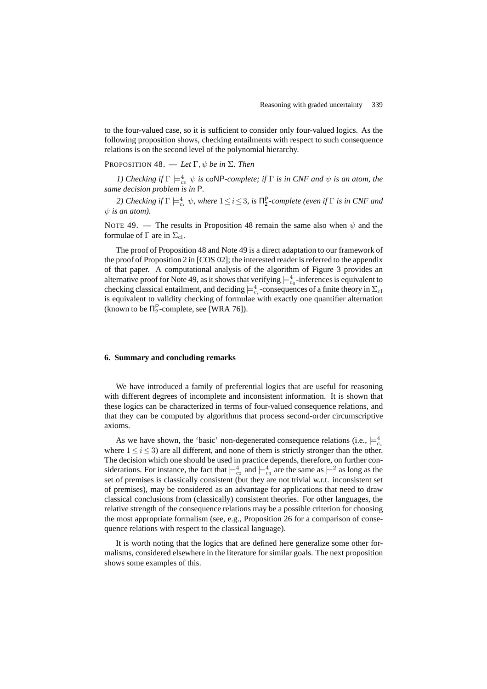to the four-valued case, so it is sufficient to consider only four-valued logics. As the following proposition shows, checking entailments with respect to such consequence relations is on the second level of the polynomial hierarchy.

PROPOSITION 48. — *Let* Γ, ψ *be in* Σ*. Then*

*1)* Checking if  $\Gamma \models_{c_0}^4 \psi$  is coNP-complete; if  $\Gamma$  is in CNF and  $\psi$  is an atom, the *same decision problem is in* P*.*

2) Checking if  $\Gamma \models_{c_i}^4 \psi$ , where  $1 \leq i \leq 3$ , is  $\Pi_2^{\mathsf{P}}$ -complete (even if  $\Gamma$  is in CNF and  $\psi$  *is an atom*).

NOTE 49. — The results in Proposition 48 remain the same also when  $\psi$  and the formulae of  $\Gamma$  are in  $\Sigma_{\text{cl}}$ .

The proof of Proposition 48 and Note 49 is a direct adaptation to our framework of the proof of Proposition 2 in [COS 02]; the interested reader is referred to the appendix of that paper. A computational analysis of the algorithm of Figure 3 provides an alternative proof for Note 49, as it shows that verifying  $\models^4_{c_0}$ -inferences is equivalent to checking classical entailment, and deciding  $\models_{c_i}^4$ -consequences of a finite theory in  $\Sigma_{\rm cl}$ is equivalent to validity checking of formulae with exactly one quantifier alternation (known to be  $\Pi_2^P$ -complete, see [WRA 76]).

#### **6. Summary and concluding remarks**

We have introduced a family of preferential logics that are useful for reasoning with different degrees of incomplete and inconsistent information. It is shown that these logics can be characterized in terms of four-valued consequence relations, and that they can be computed by algorithms that process second-order circumscriptive axioms.

As we have shown, the 'basic' non-degenerated consequence relations (i.e.,  $\models_{c_i}^4$ where  $1 \le i \le 3$ ) are all different, and none of them is strictly stronger than the other. The decision which one should be used in practice depends, therefore, on further considerations. For instance, the fact that  $\models_{c_2}^4$  and  $\models_{c_3}^4$  are the same as  $\models^2$  as long as the set of premises is classically consistent (but they are not trivial w.r.t. inconsistent set of premises), may be considered as an advantage for applications that need to draw classical conclusions from (classically) consistent theories. For other languages, the relative strength of the consequence relations may be a possible criterion for choosing the most appropriate formalism (see, e.g., Proposition 26 for a comparison of consequence relations with respect to the classical language).

It is worth noting that the logics that are defined here generalize some other formalisms, considered elsewhere in the literature for similar goals. The next proposition shows some examples of this.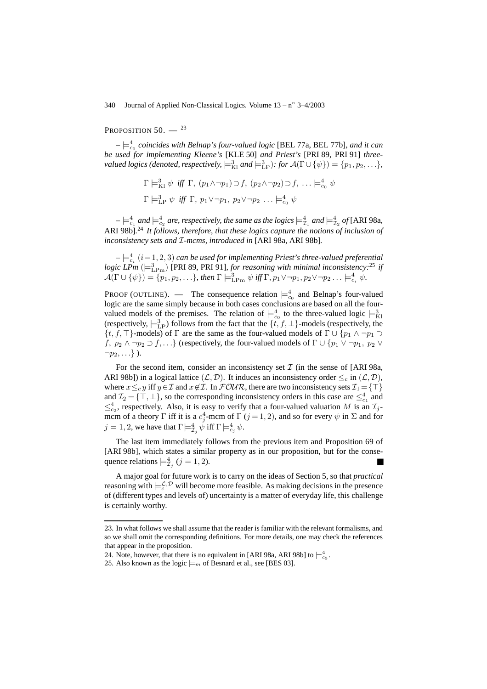# PROPOSITION  $50. - 23$

 $\models_{c_0}^4$  coincides with Belnap's four-valued logic [BEL 77a, BEL 77b]*, and it can be used for implementing Kleene's* [KLE 50] *and Priest's* [PRI 89, PRI 91] *threevalued logics (denoted, respectively,*  $\models^3_{\text{Kl}}$  and  $\models^3_{\text{LP}}$ *): for*  $\mathcal{A}(\Gamma \cup \{\psi\}) = \{p_1, p_2, \ldots\}$ *,* 

$$
\Gamma \models_{\text{KI}}^3 \psi \text{ iff } \Gamma, (p_1 \land \neg p_1) \supset f, (p_2 \land \neg p_2) \supset f, \dots \models_{c_0}^4 \psi
$$
  

$$
\Gamma \models_{\text{LP}}^3 \psi \text{ iff } \Gamma, p_1 \lor \neg p_1, p_2 \lor \neg p_2 \dots \models_{c_0}^4 \psi
$$

 $- \models_{c_1}^4$  and  $\models_{c_2}^4$  are, respectively, the same as the logics  $\models_{\mathcal{I}_1}^4$  and  $\models_{\mathcal{I}_2}^4$  of [ARI 98a, ARI 98b]*.* <sup>24</sup> *It follows, therefore, that these logics capture the notions of inclusion of inconsistency sets and* I*-mcms, introduced in* [ARI 98a, ARI 98b]*.*

 $- \models_{c_i}^4 (i\!=\! 1,2,3)$  *can be used for implementing Priest's three-valued preferential*  $logic$  LPm  $(\models^3_{\text{LPm}})$  [PRI 89, PRI 91]*, for reasoning with minimal inconsistency*:<sup>25</sup> *if*  $\mathcal{A}(\Gamma \cup \{\psi\}) = \{p_1, p_2, \ldots\}$ , then  $\Gamma \models^3_{\text{LPm}} \psi$  iff  $\Gamma, p_1 \vee \neg p_1, p_2 \vee \neg p_2 \ldots \models^4_{c_i} \psi$ .

PROOF (OUTLINE). — The consequence relation  $\models_{c_0}^4$  and Belnap's four-valued logic are the same simply because in both cases conclusions are based on all the fourvalued models of the premises. The relation of  $\models_{c_0}^4$  to the three-valued logic  $\models_{\text{KL}}^3$ (respectively,  $\models^3_{\text{LP}}$ ) follows from the fact that the  $\{t, f, \perp\}$ -models (respectively, the  $\{t, f, \top\}$ -models) of  $\Gamma$  are the same as the four-valued models of  $\Gamma \cup \{p_1 \land \neg p_1 \supset \bot\}$ f,  $p_2 \wedge \neg p_2 \supset f, \ldots$ } (respectively, the four-valued models of  $\Gamma \cup \{p_1 \vee \neg p_1, p_2 \vee \neg p_2\}$  $\neg p_2, \ldots$ }).

For the second item, consider an inconsistency set  $\mathcal I$  (in the sense of [ARI 98a, ARI 98b]) in a logical lattice  $(L, \mathcal{D})$ . It induces an inconsistency order  $\leq_c$  in  $(L, \mathcal{D})$ , where  $x \leq_c y$  iff  $y \in \mathcal{I}$  and  $x \notin \mathcal{I}$ . In  $\mathcal{FOUR}$ , there are two inconsistency sets  $\mathcal{I}_1 = \{\top\}$ and  $\mathcal{I}_2 = \{\top, \bot\}$ , so the corresponding inconsistency orders in this case are  $\leq_{c_1}^4$  and  $\leq_{c_2}^4$ , respectively. Also, it is easy to verify that a four-valued valuation M is an  $\mathcal{I}_j$ mcm of a theory  $\Gamma$  iff it is a  $c_j^4$ -mcm of  $\Gamma$  ( $j = 1, 2$ ), and so for every  $\psi$  in  $\Sigma$  and for  $j = 1, 2$ , we have that  $\Gamma \models^4_{\mathcal{I}_j} \psi$  iff  $\Gamma \models^4_{c_j} \psi$ .

The last item immediately follows from the previous item and Proposition 69 of [ARI 98b], which states a similar property as in our proposition, but for the consequence relations  $\models_{\mathcal{I}_j}^4 (j=1,2)$ .

A major goal for future work is to carry on the ideas of Section 5, so that *practical* reasoning with  $\models_c^{\mathcal{L},\mathcal{D}}$  will become more feasible. As making decisions in the presence of (different types and levels of) uncertainty is a matter of everyday life, this challenge is certainly worthy.

<sup>23</sup>. In what follows we shall assume that the reader is familiar with the relevant formalisms, and so we shall omit the corresponding definitions. For more details, one may check the references that appear in the proposition.

<sup>24.</sup> Note, however, that there is no equivalent in [ARI 98a, ARI 98b] to  $\models_{c_3}^4$ .

<sup>25.</sup> Also known as the logic  $\models_m$  of Besnard et al., see [BES 03].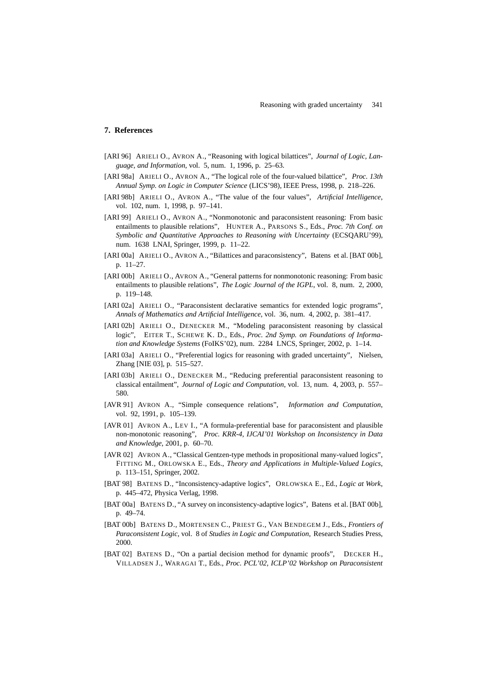#### **7. References**

- [ARI 96] ARIELI O., AVRON A., "Reasoning with logical bilattices", *Journal of Logic, Language, and Information*, vol. 5, num. 1, 1996, p. 25–63.
- [ARI 98a] ARIELI O., AVRON A., "The logical role of the four-valued bilattice", *Proc. 13th Annual Symp. on Logic in Computer Science* (LICS'98), IEEE Press, 1998, p. 218–226.
- [ARI 98b] ARIELI O., AVRON A., "The value of the four values", *Artificial Intelligence*, vol. 102, num. 1, 1998, p. 97–141.
- [ARI 99] ARIELI O., AVRON A., "Nonmonotonic and paraconsistent reasoning: From basic entailments to plausible relations", HUNTER A., PARSONS S., Eds., *Proc. 7th Conf. on Symbolic and Quantitative Approaches to Reasoning with Uncertainty* (ECSQARU'99), num. 1638 LNAI, Springer, 1999, p. 11–22.
- [ARI 00a] ARIELI O., AVRON A., "Bilattices and paraconsistency", Batens et al. [BAT 00b], p. 11–27.
- [ARI 00b] ARIELI O., AVRON A., "General patterns for nonmonotonic reasoning: From basic entailments to plausible relations", *The Logic Journal of the IGPL*, vol. 8, num. 2, 2000, p. 119–148.
- [ARI 02a] ARIELI O., "Paraconsistent declarative semantics for extended logic programs", *Annals of Mathematics and Artificial Intelligence*, vol. 36, num. 4, 2002, p. 381–417.
- [ARI 02b] ARIELI O., DENECKER M., "Modeling paraconsistent reasoning by classical logic", EITER T., SCHEWE K. D., Eds., *Proc. 2nd Symp. on Foundations of Information and Knowledge Systems* (FoIKS'02), num. 2284 LNCS, Springer, 2002, p. 1–14.
- [ARI 03a] ARIELI O., "Preferential logics for reasoning with graded uncertainty", Nielsen, Zhang [NIE 03], p. 515–527.
- [ARI 03b] ARIELI O., DENECKER M., "Reducing preferential paraconsistent reasoning to classical entailment", *Journal of Logic and Computation*, vol. 13, num. 4, 2003, p. 557– 580.
- [AVR 91] AVRON A., "Simple consequence relations", *Information and Computation*, vol. 92, 1991, p. 105–139.
- [AVR 01] AVRON A., LEV I., "A formula-preferential base for paraconsistent and plausible non-monotonic reasoning", *Proc. KRR-4, IJCAI'01 Workshop on Inconsistency in Data and Knowledge*, 2001, p. 60–70.
- [AVR 02] AVRON A., "Classical Gentzen-type methods in propositional many-valued logics", FITTING M., ORLOWSKA E., Eds., *Theory and Applications in Multiple-Valued Logics*, p. 113–151, Springer, 2002.
- [BAT 98] BATENS D., "Inconsistency-adaptive logics", ORLOWSKA E., Ed., *Logic at Work*, p. 445–472, Physica Verlag, 1998.
- [BAT 00a] BATENS D., "A survey on inconsistency-adaptive logics", Batens et al. [BAT 00b], p. 49–74.
- [BAT 00b] BATENS D., MORTENSEN C., PRIEST G., VAN BENDEGEM J., Eds., *Frontiers of Paraconsistent Logic*, vol. 8 of *Studies in Logic and Computation*, Research Studies Press, 2000.
- [BAT 02] BATENS D., "On a partial decision method for dynamic proofs", DECKER H., VILLADSEN J., WARAGAI T., Eds., *Proc. PCL'02, ICLP'02 Workshop on Paraconsistent*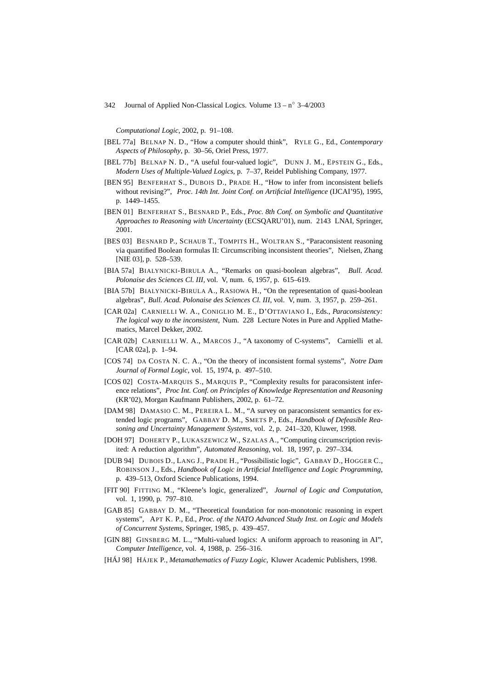*Computational Logic*, 2002, p. 91–108.

- [BEL 77a] BELNAP N. D., "How a computer should think", RYLE G., Ed., *Contemporary Aspects of Philosophy*, p. 30–56, Oriel Press, 1977.
- [BEL 77b] BELNAP N. D., "A useful four-valued logic", DUNN J. M., EPSTEIN G., Eds., *Modern Uses of Multiple-Valued Logics*, p. 7–37, Reidel Publishing Company, 1977.
- [BEN 95] BENFERHAT S., DUBOIS D., PRADE H., "How to infer from inconsistent beliefs without revising?", *Proc. 14th Int. Joint Conf. on Artificial Intelligence* (IJCAI'95), 1995, p. 1449–1455.
- [BEN 01] BENFERHAT S., BESNARD P., Eds., *Proc. 8th Conf. on Symbolic and Quantitative Approaches to Reasoning with Uncertainty* (ECSQARU'01), num. 2143 LNAI, Springer, 2001.
- [BES 03] BESNARD P., SCHAUB T., TOMPITS H., WOLTRAN S., "Paraconsistent reasoning via quantified Boolean formulas II: Circumscribing inconsistent theories", Nielsen, Zhang [NIE 03], p. 528–539.
- [BIA 57a] BIALYNICKI-BIRULA A., "Remarks on quasi-boolean algebras", *Bull. Acad. Polonaise des Sciences Cl. III*, vol. V, num. 6, 1957, p. 615–619.
- [BIA 57b] BIALYNICKI-BIRULA A., RASIOWA H., "On the representation of quasi-boolean algebras", *Bull. Acad. Polonaise des Sciences Cl. III*, vol. V, num. 3, 1957, p. 259–261.
- [CAR 02a] CARNIELLI W. A., CONIGLIO M. E., D'OTTAVIANO I., Eds., *Paraconsistency: The logical way to the inconsistent*, Num. 228 Lecture Notes in Pure and Applied Mathematics, Marcel Dekker, 2002.
- [CAR 02b] CARNIELLI W. A., MARCOS J., "A taxonomy of C-systems", Carnielli et al. [CAR 02a], p. 1–94.
- [COS 74] DA COSTA N. C. A., "On the theory of inconsistent formal systems", *Notre Dam Journal of Formal Logic*, vol. 15, 1974, p. 497–510.
- [COS 02] COSTA-MARQUIS S., MARQUIS P., "Complexity results for paraconsistent inference relations", *Proc Int. Conf. on Principles of Knowledge Representation and Reasoning* (KR'02), Morgan Kaufmann Publishers, 2002, p. 61–72.
- [DAM 98] DAMASIO C. M., PEREIRA L. M., "A survey on paraconsistent semantics for extended logic programs", GABBAY D. M., SMETS P., Eds., *Handbook of Defeasible Reasoning and Uncertainty Management Systems*, vol. 2, p. 241–320, Kluwer, 1998.
- [DOH 97] DOHERTY P., LUKASZEWICZ W., SZALAS A., "Computing circumscription revisited: A reduction algorithm", *Automated Reasoning*, vol. 18, 1997, p. 297–334.
- [DUB 94] DUBOIS D., LANG J., PRADE H., "Possibilistic logic", GABBAY D., HOGGER C., ROBINSON J., Eds., *Handbook of Logic in Artificial Intelligence and Logic Programming*, p. 439–513, Oxford Science Publications, 1994.
- [FIT 90] FITTING M., "Kleene's logic, generalized", *Journal of Logic and Computation*, vol. 1, 1990, p. 797–810.
- [GAB 85] GABBAY D. M., "Theoretical foundation for non-monotonic reasoning in expert systems", APT K. P., Ed., *Proc. of the NATO Advanced Study Inst. on Logic and Models of Concurrent Systems*, Springer, 1985, p. 439–457.
- [GIN 88] GINSBERG M. L., "Multi-valued logics: A uniform approach to reasoning in AI", *Computer Intelligence*, vol. 4, 1988, p. 256–316.
- [HÁJ 98] HÁJEK P., *Metamathematics of Fuzzy Logic*, Kluwer Academic Publishers, 1998.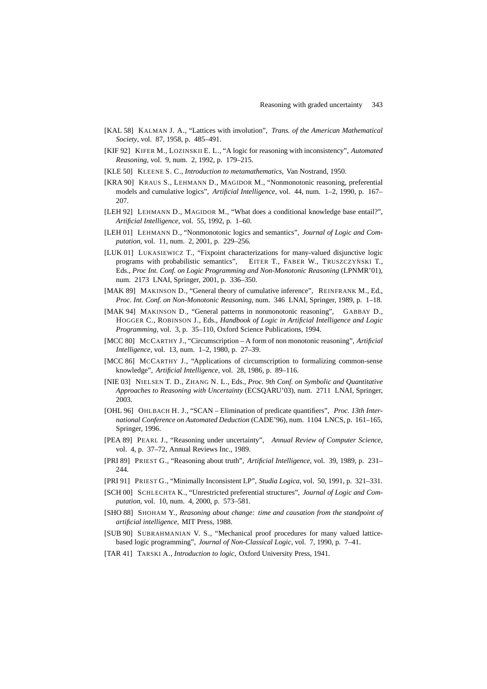- [KAL 58] KALMAN J. A., "Lattices with involution", *Trans. of the American Mathematical Society*, vol. 87, 1958, p. 485–491.
- [KIF 92] KIFER M., LOZINSKII E. L., "A logic for reasoning with inconsistency", *Automated Reasoning*, vol. 9, num. 2, 1992, p. 179–215.
- [KLE 50] KLEENE S. C., *Introduction to metamathematics*, Van Nostrand, 1950.
- [KRA 90] KRAUS S., LEHMANN D., MAGIDOR M., "Nonmonotonic reasoning, preferential models and cumulative logics", *Artificial Intelligence*, vol. 44, num. 1–2, 1990, p. 167– 207.
- [LEH 92] LEHMANN D., MAGIDOR M., "What does a conditional knowledge base entail?", *Artificial Intelligence*, vol. 55, 1992, p. 1–60.
- [LEH 01] LEHMANN D., "Nonmonotonic logics and semantics", *Journal of Logic and Computation*, vol. 11, num. 2, 2001, p. 229–256.
- [LUK 01] LUKASIEWICZ T., "Fixpoint characterizations for many-valued disjunctive logic programs with probabilistic semantics", EITER T., FABER W., TRUSZCZYŃSKI T., Eds., *Proc Int. Conf. on Logic Programming and Non-Monotonic Reasoning* (LPNMR'01), num. 2173 LNAI, Springer, 2001, p. 336–350.
- [MAK 89] MAKINSON D., "General theory of cumulative inference", REINFRANK M., Ed., *Proc. Int. Conf. on Non-Monotonic Reasoning*, num. 346 LNAI, Springer, 1989, p. 1–18.
- [MAK 94] MAKINSON D., "General patterns in nonmonotonic reasoning", GABBAY D., HOGGER C., ROBINSON J., Eds., *Handbook of Logic in Artificial Intelligence and Logic Programming*, vol. 3, p. 35–110, Oxford Science Publications, 1994.
- [MCC 80] MCCARTHY J., "Circumscription A form of non monotonic reasoning", *Artificial Intelligence*, vol. 13, num. 1–2, 1980, p. 27–39.
- [MCC 86] MCCARTHY J., "Applications of circumscription to formalizing common-sense knowledge", *Artificial Intelligence*, vol. 28, 1986, p. 89–116.
- [NIE 03] NIELSEN T. D., ZHANG N. L., Eds., *Proc. 9th Conf. on Symbolic and Quantitative Approaches to Reasoning with Uncertainty* (ECSQARU'03), num. 2711 LNAI, Springer, 2003.
- [OHL 96] OHLBACH H. J., "SCAN Elimination of predicate quantifiers", *Proc. 13th International Conference on Automated Deduction* (CADE'96), num. 1104 LNCS, p. 161–165, Springer, 1996.
- [PEA 89] PEARL J., "Reasoning under uncertainty", *Annual Review of Computer Science*, vol. 4, p. 37–72, Annual Reviews Inc., 1989.
- [PRI 89] PRIEST G., "Reasoning about truth", *Artificial Intelligence*, vol. 39, 1989, p. 231– 244.
- [PRI 91] PRIEST G., "Minimally Inconsistent LP", *Studia Logica*, vol. 50, 1991, p. 321–331.
- [SCH 00] SCHLECHTA K., "Unrestricted preferential structures", *Journal of Logic and Computation*, vol. 10, num. 4, 2000, p. 573–581.
- [SHO 88] SHOHAM Y., *Reasoning about change: time and causation from the standpoint of artificial intelligence*, MIT Press, 1988.
- [SUB 90] SUBRAHMANIAN V. S., "Mechanical proof procedures for many valued latticebased logic programming", *Journal of Non-Classical Logic*, vol. 7, 1990, p. 7–41.
- [TAR 41] TARSKI A., *Introduction to logic*, Oxford University Press, 1941.